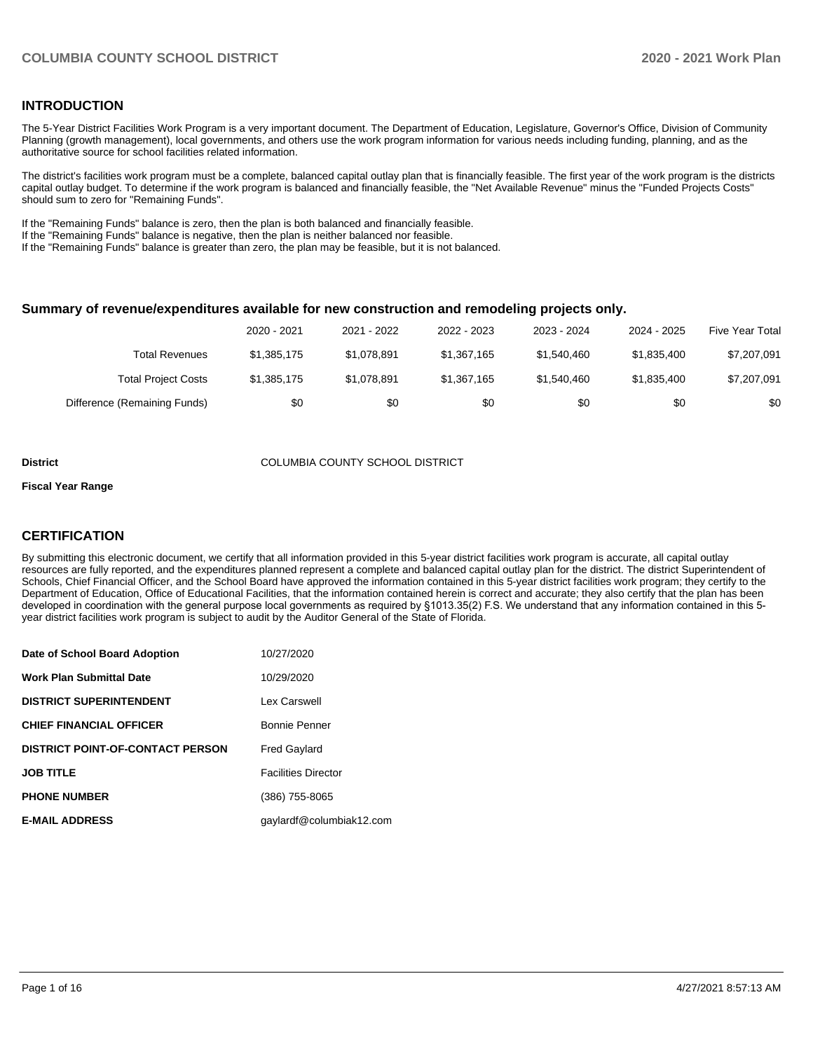#### **INTRODUCTION**

The 5-Year District Facilities Work Program is a very important document. The Department of Education, Legislature, Governor's Office, Division of Community Planning (growth management), local governments, and others use the work program information for various needs including funding, planning, and as the authoritative source for school facilities related information.

The district's facilities work program must be a complete, balanced capital outlay plan that is financially feasible. The first year of the work program is the districts capital outlay budget. To determine if the work program is balanced and financially feasible, the "Net Available Revenue" minus the "Funded Projects Costs" should sum to zero for "Remaining Funds".

If the "Remaining Funds" balance is zero, then the plan is both balanced and financially feasible.

If the "Remaining Funds" balance is negative, then the plan is neither balanced nor feasible.

If the "Remaining Funds" balance is greater than zero, the plan may be feasible, but it is not balanced.

#### **Summary of revenue/expenditures available for new construction and remodeling projects only.**

|                              | 2020 - 2021 | 2021 - 2022 | 2022 - 2023 | 2023 - 2024 | 2024 - 2025 | Five Year Total |
|------------------------------|-------------|-------------|-------------|-------------|-------------|-----------------|
| Total Revenues               | \$1,385,175 | \$1.078.891 | \$1,367,165 | \$1.540.460 | \$1,835,400 | \$7,207,091     |
| <b>Total Project Costs</b>   | \$1,385,175 | \$1.078.891 | \$1,367,165 | \$1.540.460 | \$1,835,400 | \$7,207,091     |
| Difference (Remaining Funds) | \$0         | \$0         | \$0         | \$0         | \$0         | \$0             |

#### **District** COLUMBIA COUNTY SCHOOL DISTRICT

#### **Fiscal Year Range**

#### **CERTIFICATION**

By submitting this electronic document, we certify that all information provided in this 5-year district facilities work program is accurate, all capital outlay resources are fully reported, and the expenditures planned represent a complete and balanced capital outlay plan for the district. The district Superintendent of Schools, Chief Financial Officer, and the School Board have approved the information contained in this 5-year district facilities work program; they certify to the Department of Education, Office of Educational Facilities, that the information contained herein is correct and accurate; they also certify that the plan has been developed in coordination with the general purpose local governments as required by §1013.35(2) F.S. We understand that any information contained in this 5 year district facilities work program is subject to audit by the Auditor General of the State of Florida.

| Date of School Board Adoption           | 10/27/2020                 |
|-----------------------------------------|----------------------------|
| <b>Work Plan Submittal Date</b>         | 10/29/2020                 |
| <b>DISTRICT SUPERINTENDENT</b>          | Lex Carswell               |
| <b>CHIEF FINANCIAL OFFICER</b>          | Bonnie Penner              |
| <b>DISTRICT POINT-OF-CONTACT PERSON</b> | <b>Fred Gaylard</b>        |
| <b>JOB TITLE</b>                        | <b>Facilities Director</b> |
| <b>PHONE NUMBER</b>                     | (386) 755-8065             |
| <b>E-MAIL ADDRESS</b>                   | qaylardf@columbiak12.com   |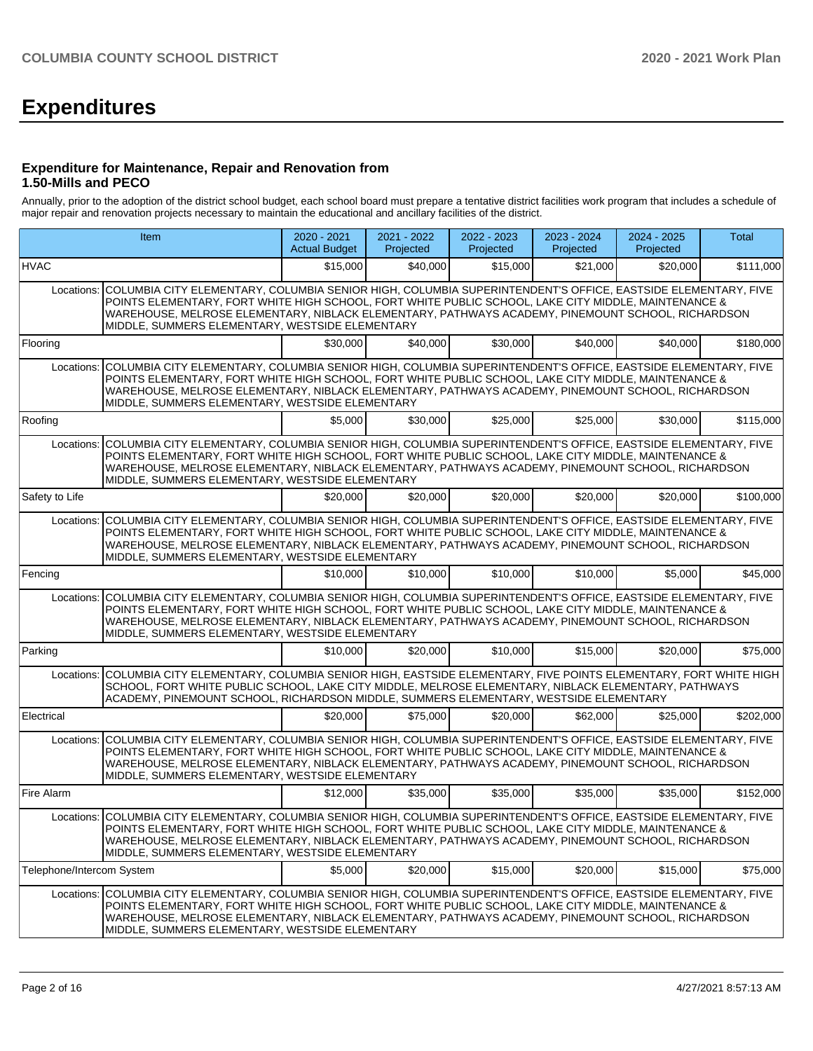# **Expenditures**

#### **Expenditure for Maintenance, Repair and Renovation from 1.50-Mills and PECO**

Annually, prior to the adoption of the district school budget, each school board must prepare a tentative district facilities work program that includes a schedule of major repair and renovation projects necessary to maintain the educational and ancillary facilities of the district.

| <b>Item</b>                                                                                                                                                                                                                                                                                                                                                                            |                                                                                                                                                                                                                                                                                                                                                                                        | $2020 - 2021$<br><b>Actual Budget</b> | 2021 - 2022<br>Projected | 2022 - 2023<br>Projected | 2023 - 2024<br>Projected | 2024 - 2025<br>Projected | Total     |  |  |  |  |
|----------------------------------------------------------------------------------------------------------------------------------------------------------------------------------------------------------------------------------------------------------------------------------------------------------------------------------------------------------------------------------------|----------------------------------------------------------------------------------------------------------------------------------------------------------------------------------------------------------------------------------------------------------------------------------------------------------------------------------------------------------------------------------------|---------------------------------------|--------------------------|--------------------------|--------------------------|--------------------------|-----------|--|--|--|--|
| HVAC                                                                                                                                                                                                                                                                                                                                                                                   |                                                                                                                                                                                                                                                                                                                                                                                        | \$15,000                              | \$40,000                 | \$15,000                 | \$21,000                 | \$20,000                 | \$111,000 |  |  |  |  |
| Locations: COLUMBIA CITY ELEMENTARY, COLUMBIA SENIOR HIGH, COLUMBIA SUPERINTENDENT'S OFFICE, EASTSIDE ELEMENTARY, FIVE<br>POINTS ELEMENTARY, FORT WHITE HIGH SCHOOL, FORT WHITE PUBLIC SCHOOL, LAKE CITY MIDDLE, MAINTENANCE &<br>WAREHOUSE, MELROSE ELEMENTARY, NIBLACK ELEMENTARY, PATHWAYS ACADEMY, PINEMOUNT SCHOOL, RICHARDSON<br>MIDDLE, SUMMERS ELEMENTARY, WESTSIDE ELEMENTARY |                                                                                                                                                                                                                                                                                                                                                                                        |                                       |                          |                          |                          |                          |           |  |  |  |  |
| Flooring                                                                                                                                                                                                                                                                                                                                                                               |                                                                                                                                                                                                                                                                                                                                                                                        | \$30,000                              | \$40,000                 | \$30,000                 | \$40,000                 | \$40,000                 | \$180,000 |  |  |  |  |
| Locations:                                                                                                                                                                                                                                                                                                                                                                             | COLUMBIA CITY ELEMENTARY, COLUMBIA SENIOR HIGH, COLUMBIA SUPERINTENDENT'S OFFICE, EASTSIDE ELEMENTARY, FIVE<br>POINTS ELEMENTARY, FORT WHITE HIGH SCHOOL, FORT WHITE PUBLIC SCHOOL, LAKE CITY MIDDLE, MAINTENANCE &<br>WAREHOUSE, MELROSE ELEMENTARY, NIBLACK ELEMENTARY, PATHWAYS ACADEMY, PINEMOUNT SCHOOL, RICHARDSON<br>MIDDLE, SUMMERS ELEMENTARY, WESTSIDE ELEMENTARY            |                                       |                          |                          |                          |                          |           |  |  |  |  |
| Roofing                                                                                                                                                                                                                                                                                                                                                                                |                                                                                                                                                                                                                                                                                                                                                                                        | \$5,000                               | \$30,000                 | \$25,000                 | \$25,000                 | \$30,000                 | \$115,000 |  |  |  |  |
| Locations:                                                                                                                                                                                                                                                                                                                                                                             | COLUMBIA CITY ELEMENTARY, COLUMBIA SENIOR HIGH, COLUMBIA SUPERINTENDENT'S OFFICE, EASTSIDE ELEMENTARY, FIVE<br>POINTS ELEMENTARY, FORT WHITE HIGH SCHOOL, FORT WHITE PUBLIC SCHOOL, LAKE CITY MIDDLE, MAINTENANCE &<br>WAREHOUSE, MELROSE ELEMENTARY, NIBLACK ELEMENTARY, PATHWAYS ACADEMY, PINEMOUNT SCHOOL, RICHARDSON<br>MIDDLE, SUMMERS ELEMENTARY, WESTSIDE ELEMENTARY            |                                       |                          |                          |                          |                          |           |  |  |  |  |
| Safety to Life                                                                                                                                                                                                                                                                                                                                                                         |                                                                                                                                                                                                                                                                                                                                                                                        | \$20,000                              | \$20,000                 | \$20,000                 | \$20,000                 | \$20,000                 | \$100,000 |  |  |  |  |
| Locations:                                                                                                                                                                                                                                                                                                                                                                             | COLUMBIA CITY ELEMENTARY, COLUMBIA SENIOR HIGH, COLUMBIA SUPERINTENDENT'S OFFICE, EASTSIDE ELEMENTARY, FIVE<br>POINTS ELEMENTARY, FORT WHITE HIGH SCHOOL, FORT WHITE PUBLIC SCHOOL, LAKE CITY MIDDLE, MAINTENANCE &<br>WAREHOUSE, MELROSE ELEMENTARY, NIBLACK ELEMENTARY, PATHWAYS ACADEMY, PINEMOUNT SCHOOL, RICHARDSON<br>MIDDLE, SUMMERS ELEMENTARY, WESTSIDE ELEMENTARY            |                                       |                          |                          |                          |                          |           |  |  |  |  |
| Fencing                                                                                                                                                                                                                                                                                                                                                                                |                                                                                                                                                                                                                                                                                                                                                                                        | \$10,000                              | \$10,000                 | \$10,000                 | \$10,000                 | \$5,000                  | \$45,000  |  |  |  |  |
| Locations:                                                                                                                                                                                                                                                                                                                                                                             | COLUMBIA CITY ELEMENTARY, COLUMBIA SENIOR HIGH, COLUMBIA SUPERINTENDENT'S OFFICE, EASTSIDE ELEMENTARY, FIVE<br>POINTS ELEMENTARY, FORT WHITE HIGH SCHOOL, FORT WHITE PUBLIC SCHOOL, LAKE CITY MIDDLE, MAINTENANCE &<br>WAREHOUSE, MELROSE ELEMENTARY, NIBLACK ELEMENTARY, PATHWAYS ACADEMY, PINEMOUNT SCHOOL, RICHARDSON<br>MIDDLE, SUMMERS ELEMENTARY, WESTSIDE ELEMENTARY            |                                       |                          |                          |                          |                          |           |  |  |  |  |
| Parking                                                                                                                                                                                                                                                                                                                                                                                |                                                                                                                                                                                                                                                                                                                                                                                        | \$10,000                              | \$20,000                 | \$10,000                 | \$15,000                 | \$20,000                 | \$75,000  |  |  |  |  |
| Locations:                                                                                                                                                                                                                                                                                                                                                                             | COLUMBIA CITY ELEMENTARY, COLUMBIA SENIOR HIGH, EASTSIDE ELEMENTARY, FIVE POINTS ELEMENTARY, FORT WHITE HIGH<br>SCHOOL, FORT WHITE PUBLIC SCHOOL, LAKE CITY MIDDLE, MELROSE ELEMENTARY, NIBLACK ELEMENTARY, PATHWAYS<br>ACADEMY, PINEMOUNT SCHOOL, RICHARDSON MIDDLE, SUMMERS ELEMENTARY, WESTSIDE ELEMENTARY                                                                          |                                       |                          |                          |                          |                          |           |  |  |  |  |
| Electrical                                                                                                                                                                                                                                                                                                                                                                             |                                                                                                                                                                                                                                                                                                                                                                                        | \$20,000                              | \$75,000                 | \$20,000                 | \$62,000                 | \$25,000                 | \$202,000 |  |  |  |  |
| Locations:                                                                                                                                                                                                                                                                                                                                                                             | COLUMBIA CITY ELEMENTARY, COLUMBIA SENIOR HIGH, COLUMBIA SUPERINTENDENT'S OFFICE, EASTSIDE ELEMENTARY, FIVE<br>POINTS ELEMENTARY, FORT WHITE HIGH SCHOOL, FORT WHITE PUBLIC SCHOOL, LAKE CITY MIDDLE, MAINTENANCE &<br>WAREHOUSE, MELROSE ELEMENTARY, NIBLACK ELEMENTARY, PATHWAYS ACADEMY, PINEMOUNT SCHOOL, RICHARDSON<br>MIDDLE, SUMMERS ELEMENTARY, WESTSIDE ELEMENTARY            |                                       |                          |                          |                          |                          |           |  |  |  |  |
| Fire Alarm                                                                                                                                                                                                                                                                                                                                                                             |                                                                                                                                                                                                                                                                                                                                                                                        | \$12,000                              | \$35,000                 | \$35,000                 | \$35,000                 | \$35,000                 | \$152,000 |  |  |  |  |
|                                                                                                                                                                                                                                                                                                                                                                                        | Locations: COLUMBIA CITY ELEMENTARY, COLUMBIA SENIOR HIGH, COLUMBIA SUPERINTENDENT'S OFFICE, EASTSIDE ELEMENTARY, FIVE<br>POINTS ELEMENTARY, FORT WHITE HIGH SCHOOL, FORT WHITE PUBLIC SCHOOL, LAKE CITY MIDDLE, MAINTENANCE &<br>WAREHOUSE, MELROSE ELEMENTARY, NIBLACK ELEMENTARY, PATHWAYS ACADEMY, PINEMOUNT SCHOOL, RICHARDSON<br>MIDDLE, SUMMERS ELEMENTARY, WESTSIDE ELEMENTARY |                                       |                          |                          |                          |                          |           |  |  |  |  |
| Telephone/Intercom System                                                                                                                                                                                                                                                                                                                                                              |                                                                                                                                                                                                                                                                                                                                                                                        | \$5,000                               | \$20,000                 | \$15,000                 | \$20,000                 | \$15,000                 | \$75,000  |  |  |  |  |
| Locations:                                                                                                                                                                                                                                                                                                                                                                             | COLUMBIA CITY ELEMENTARY, COLUMBIA SENIOR HIGH, COLUMBIA SUPERINTENDENT'S OFFICE, EASTSIDE ELEMENTARY, FIVE<br>POINTS ELEMENTARY, FORT WHITE HIGH SCHOOL, FORT WHITE PUBLIC SCHOOL, LAKE CITY MIDDLE, MAINTENANCE &<br>WAREHOUSE, MELROSE ELEMENTARY, NIBLACK ELEMENTARY, PATHWAYS ACADEMY, PINEMOUNT SCHOOL, RICHARDSON<br>MIDDLE, SUMMERS ELEMENTARY, WESTSIDE ELEMENTARY            |                                       |                          |                          |                          |                          |           |  |  |  |  |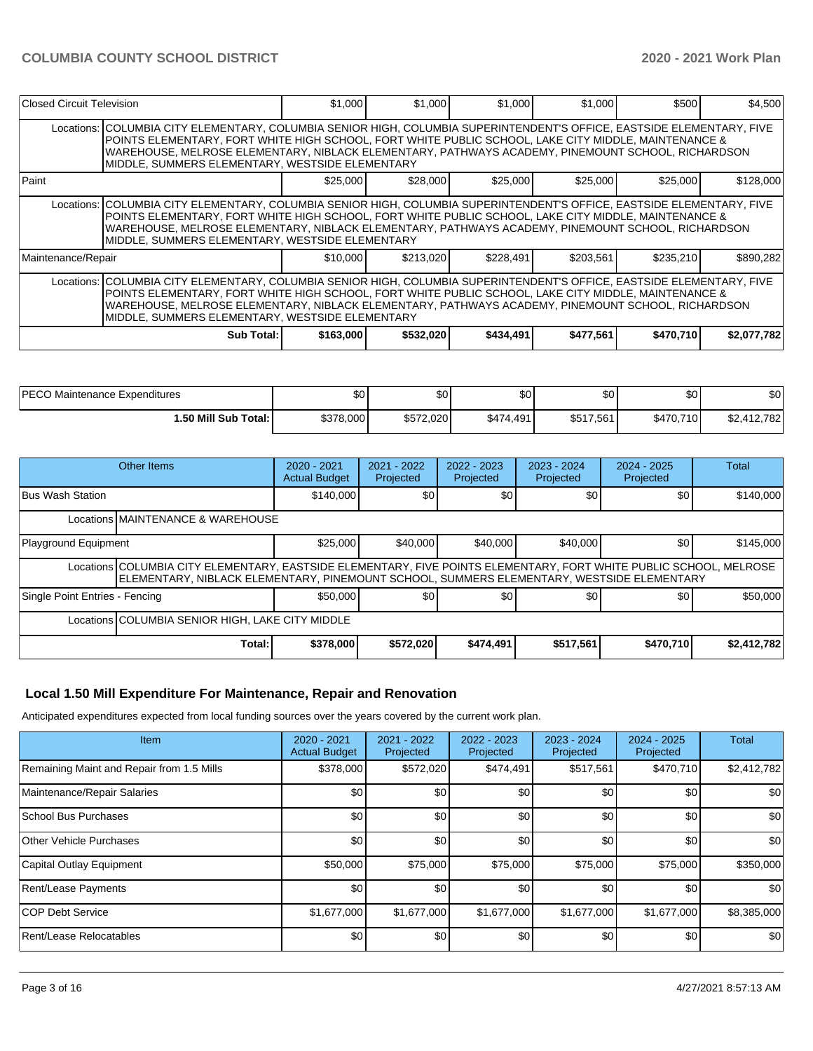| Closed Circuit Television                                                                                                                                                                                                                                                                                                                                                              |                                                                                                                                                                                                                                                                                                                                                                                        | \$1,000   | \$1,000   | \$1,000   | \$1,000   | \$500     | \$4,500     |  |  |  |
|----------------------------------------------------------------------------------------------------------------------------------------------------------------------------------------------------------------------------------------------------------------------------------------------------------------------------------------------------------------------------------------|----------------------------------------------------------------------------------------------------------------------------------------------------------------------------------------------------------------------------------------------------------------------------------------------------------------------------------------------------------------------------------------|-----------|-----------|-----------|-----------|-----------|-------------|--|--|--|
|                                                                                                                                                                                                                                                                                                                                                                                        | Locations: COLUMBIA CITY ELEMENTARY, COLUMBIA SENIOR HIGH, COLUMBIA SUPERINTENDENT'S OFFICE, EASTSIDE ELEMENTARY, FIVE<br>POINTS ELEMENTARY, FORT WHITE HIGH SCHOOL, FORT WHITE PUBLIC SCHOOL, LAKE CITY MIDDLE, MAINTENANCE &<br>WAREHOUSE, MELROSE ELEMENTARY, NIBLACK ELEMENTARY, PATHWAYS ACADEMY, PINEMOUNT SCHOOL, RICHARDSON<br>MIDDLE, SUMMERS ELEMENTARY, WESTSIDE ELEMENTARY |           |           |           |           |           |             |  |  |  |
| Paint                                                                                                                                                                                                                                                                                                                                                                                  |                                                                                                                                                                                                                                                                                                                                                                                        | \$25,000  | \$28,000  | \$25,000  | \$25,000  | \$25,000  | \$128,000   |  |  |  |
|                                                                                                                                                                                                                                                                                                                                                                                        | Locations: COLUMBIA CITY ELEMENTARY, COLUMBIA SENIOR HIGH, COLUMBIA SUPERINTENDENT'S OFFICE, EASTSIDE ELEMENTARY, FIVE<br>POINTS ELEMENTARY, FORT WHITE HIGH SCHOOL, FORT WHITE PUBLIC SCHOOL, LAKE CITY MIDDLE, MAINTENANCE &<br>WAREHOUSE, MELROSE ELEMENTARY, NIBLACK ELEMENTARY, PATHWAYS ACADEMY, PINEMOUNT SCHOOL, RICHARDSON<br>MIDDLE, SUMMERS ELEMENTARY, WESTSIDE ELEMENTARY |           |           |           |           |           |             |  |  |  |
| Maintenance/Repair                                                                                                                                                                                                                                                                                                                                                                     |                                                                                                                                                                                                                                                                                                                                                                                        | \$10,000  | \$213.020 | \$228,491 | \$203,561 | \$235,210 | \$890,282   |  |  |  |
| Locations: COLUMBIA CITY ELEMENTARY, COLUMBIA SENIOR HIGH, COLUMBIA SUPERINTENDENT'S OFFICE, EASTSIDE ELEMENTARY, FIVE<br>POINTS ELEMENTARY, FORT WHITE HIGH SCHOOL, FORT WHITE PUBLIC SCHOOL, LAKE CITY MIDDLE, MAINTENANCE &<br>WAREHOUSE, MELROSE ELEMENTARY, NIBLACK ELEMENTARY, PATHWAYS ACADEMY, PINEMOUNT SCHOOL, RICHARDSON<br>MIDDLE, SUMMERS ELEMENTARY, WESTSIDE ELEMENTARY |                                                                                                                                                                                                                                                                                                                                                                                        |           |           |           |           |           |             |  |  |  |
|                                                                                                                                                                                                                                                                                                                                                                                        | Sub Total: I                                                                                                                                                                                                                                                                                                                                                                           | \$163,000 | \$532,020 | \$434,491 | \$477,561 | \$470,710 | \$2,077,782 |  |  |  |

| <b>IPECO Maintenance Expenditures</b> | \$0       | \$0 <sub>1</sub> | ሶሳ<br>งบ  | \$0       | ΦO<br>ູບບ | \$0                  |
|---------------------------------------|-----------|------------------|-----------|-----------|-----------|----------------------|
| i .50 Mill Sub Total: İ               | \$378,000 | \$572,020        | \$474,491 | \$517,561 | \$470,710 | ሖ<br>412.782<br>92.4 |

| Other Items                                                                                                                                                                                                     | $2020 - 2021$<br><b>Actual Budget</b> | 2021 - 2022<br>Projected | 2022 - 2023<br>Projected | $2023 - 2024$<br>Projected | $2024 - 2025$<br>Projected | Total       |  |  |  |
|-----------------------------------------------------------------------------------------------------------------------------------------------------------------------------------------------------------------|---------------------------------------|--------------------------|--------------------------|----------------------------|----------------------------|-------------|--|--|--|
| <b>Bus Wash Station</b>                                                                                                                                                                                         | \$140,000                             | \$0                      | \$0                      | \$0 <sub>1</sub>           | \$0                        | \$140,000   |  |  |  |
| Locations MAINTENANCE & WAREHOUSE                                                                                                                                                                               |                                       |                          |                          |                            |                            |             |  |  |  |
| Playground Equipment                                                                                                                                                                                            | \$25,000                              | \$40,000                 | \$40,000                 | \$40,000                   | \$0                        | \$145,000   |  |  |  |
| Locations COLUMBIA CITY ELEMENTARY, EASTSIDE ELEMENTARY, FIVE POINTS ELEMENTARY, FORT WHITE PUBLIC SCHOOL, MELROSE<br>ELEMENTARY, NIBLACK ELEMENTARY, PINEMOUNT SCHOOL, SUMMERS ELEMENTARY, WESTSIDE ELEMENTARY |                                       |                          |                          |                            |                            |             |  |  |  |
| Single Point Entries - Fencing                                                                                                                                                                                  | \$50,000                              | \$0                      | \$0 <sub>0</sub>         | \$0 <sub>1</sub>           | \$0                        | \$50,000    |  |  |  |
| Locations COLUMBIA SENIOR HIGH, LAKE CITY MIDDLE                                                                                                                                                                |                                       |                          |                          |                            |                            |             |  |  |  |
| Total:                                                                                                                                                                                                          | \$378,000                             | \$572,020                | \$474,491                | \$517,561                  | \$470,710                  | \$2,412,782 |  |  |  |

#### **Local 1.50 Mill Expenditure For Maintenance, Repair and Renovation**

Anticipated expenditures expected from local funding sources over the years covered by the current work plan.

| Item                                      | 2020 - 2021<br><b>Actual Budget</b> | 2021 - 2022<br>Projected | $2022 - 2023$<br>Projected | 2023 - 2024<br>Projected | $2024 - 2025$<br>Projected | <b>Total</b> |
|-------------------------------------------|-------------------------------------|--------------------------|----------------------------|--------------------------|----------------------------|--------------|
| Remaining Maint and Repair from 1.5 Mills | \$378,000                           | \$572,020                | \$474,491                  | \$517,561                | \$470,710                  | \$2,412,782  |
| Maintenance/Repair Salaries               | \$0                                 | \$0                      | \$0                        | \$0                      | \$0                        | \$0          |
| School Bus Purchases                      | \$0                                 | \$0                      | \$0                        | \$0                      | \$0                        | \$0          |
| Other Vehicle Purchases                   | \$0                                 | \$0                      | \$0                        | \$0                      | \$0                        | \$0          |
| Capital Outlay Equipment                  | \$50,000                            | \$75,000                 | \$75,000                   | \$75,000                 | \$75,000                   | \$350,000    |
| <b>Rent/Lease Payments</b>                | \$0                                 | \$0                      | \$0                        | \$0                      | \$0                        | \$0          |
| <b>COP Debt Service</b>                   | \$1,677,000                         | \$1,677,000              | \$1,677,000                | \$1,677,000              | \$1,677,000                | \$8,385,000  |
| Rent/Lease Relocatables                   | \$0                                 | \$0                      | \$0                        | \$0                      | \$0                        | \$0          |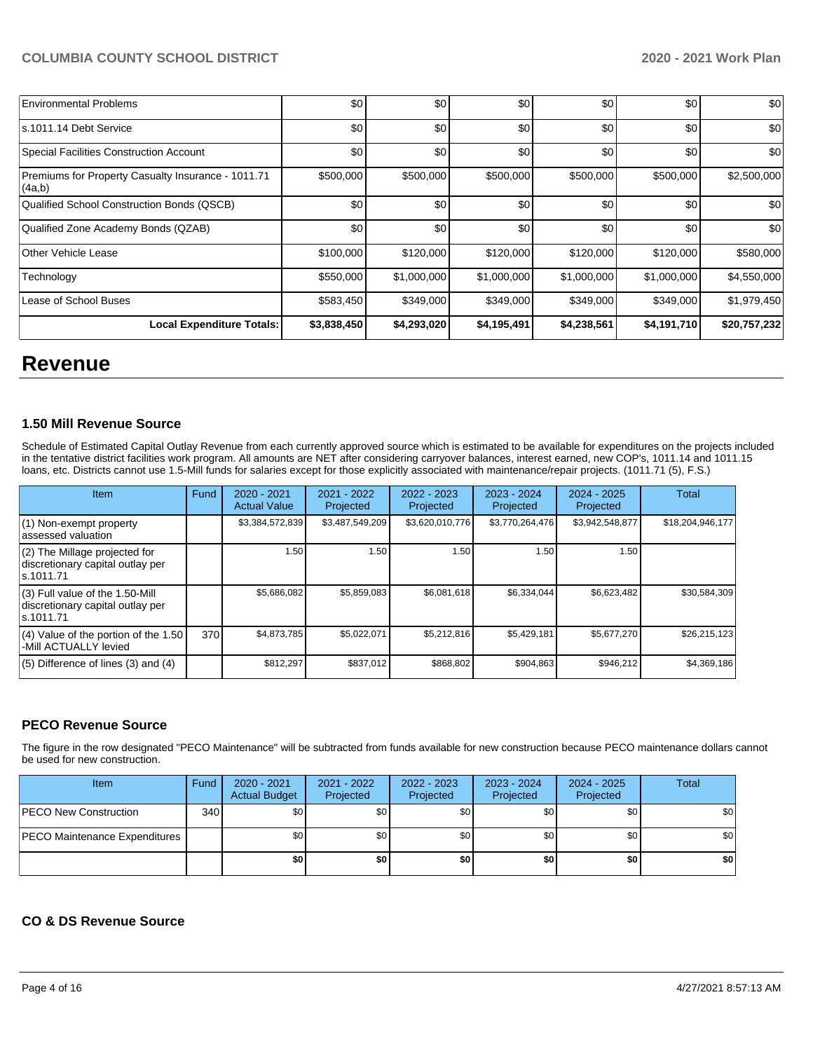| <b>Environmental Problems</b>                                | \$0         | \$0         | \$0         | \$0         | \$0         | \$0          |
|--------------------------------------------------------------|-------------|-------------|-------------|-------------|-------------|--------------|
| s.1011.14 Debt Service                                       | \$0         | \$0         | \$0         | \$0         | \$0         | \$0          |
| Special Facilities Construction Account                      | \$0         | \$0         | \$0         | \$0         | \$0         | \$0          |
| Premiums for Property Casualty Insurance - 1011.71<br>(4a,b) | \$500,000   | \$500,000   | \$500,000   | \$500,000   | \$500,000   | \$2,500,000  |
| Qualified School Construction Bonds (QSCB)                   | \$0         | \$0         | \$0         | \$0         | \$0         | \$0          |
| Qualified Zone Academy Bonds (QZAB)                          | \$0         | \$0         | \$0         | \$0         | \$0         | \$0          |
| Other Vehicle Lease                                          | \$100,000   | \$120,000   | \$120,000   | \$120,000   | \$120,000   | \$580,000    |
| Technology                                                   | \$550,000   | \$1,000,000 | \$1,000,000 | \$1,000,000 | \$1,000,000 | \$4,550,000  |
| Lease of School Buses                                        | \$583,450   | \$349,000   | \$349,000   | \$349,000   | \$349,000   | \$1,979,450  |
| <b>Local Expenditure Totals:</b>                             | \$3,838,450 | \$4,293,020 | \$4,195,491 | \$4,238,561 | \$4,191,710 | \$20,757,232 |

## **Revenue**

#### **1.50 Mill Revenue Source**

Schedule of Estimated Capital Outlay Revenue from each currently approved source which is estimated to be available for expenditures on the projects included in the tentative district facilities work program. All amounts are NET after considering carryover balances, interest earned, new COP's, 1011.14 and 1011.15 loans, etc. Districts cannot use 1.5-Mill funds for salaries except for those explicitly associated with maintenance/repair projects. (1011.71 (5), F.S.)

| Item                                                                                | Fund | $2020 - 2021$<br><b>Actual Value</b> | 2021 - 2022<br>Projected | $2022 - 2023$<br>Projected | $2023 - 2024$<br>Projected | $2024 - 2025$<br>Projected | Total            |
|-------------------------------------------------------------------------------------|------|--------------------------------------|--------------------------|----------------------------|----------------------------|----------------------------|------------------|
| (1) Non-exempt property<br>lassessed valuation                                      |      | \$3,384,572,839                      | \$3,487,549,209          | \$3,620,010,776            | \$3,770,264,476            | \$3,942,548,877            | \$18,204,946,177 |
| (2) The Millage projected for<br>discretionary capital outlay per<br>ls.1011.71     |      | 1.50                                 | 1.50                     | 1.50                       | 1.50                       | 1.50                       |                  |
| $(3)$ Full value of the 1.50-Mill<br>discretionary capital outlay per<br>ls.1011.71 |      | \$5.686.082                          | \$5,859,083              | \$6,081,618                | \$6,334,044                | \$6,623,482                | \$30,584,309     |
| $(4)$ Value of the portion of the 1.50<br>-Mill ACTUALLY levied                     | 370  | \$4,873,785                          | \$5,022,071              | \$5.212.816                | \$5,429,181                | \$5,677,270                | \$26.215.123     |
| $(5)$ Difference of lines $(3)$ and $(4)$                                           |      | \$812,297                            | \$837,012                | \$868.802                  | \$904,863                  | \$946.212                  | \$4,369,186      |

#### **PECO Revenue Source**

The figure in the row designated "PECO Maintenance" will be subtracted from funds available for new construction because PECO maintenance dollars cannot be used for new construction.

| Item                          | Fund | 2020 - 2021<br><b>Actual Budget</b> | 2021 - 2022<br>Projected | 2022 - 2023<br>Projected | 2023 - 2024<br>Projected | 2024 - 2025<br>Projected | Total |
|-------------------------------|------|-------------------------------------|--------------------------|--------------------------|--------------------------|--------------------------|-------|
| PECO New Construction         | 340  | \$0 <sub>1</sub>                    | \$0                      | \$0                      | \$0                      | \$0 <sub>1</sub>         | \$0   |
| PECO Maintenance Expenditures |      | \$0 <sub>1</sub>                    | \$0                      | \$0                      | \$0 <sub>1</sub>         | \$0 <sub>1</sub>         | \$0   |
|                               |      | \$0                                 | \$0                      | \$0                      | \$0                      | \$0                      | \$0   |

#### **CO & DS Revenue Source**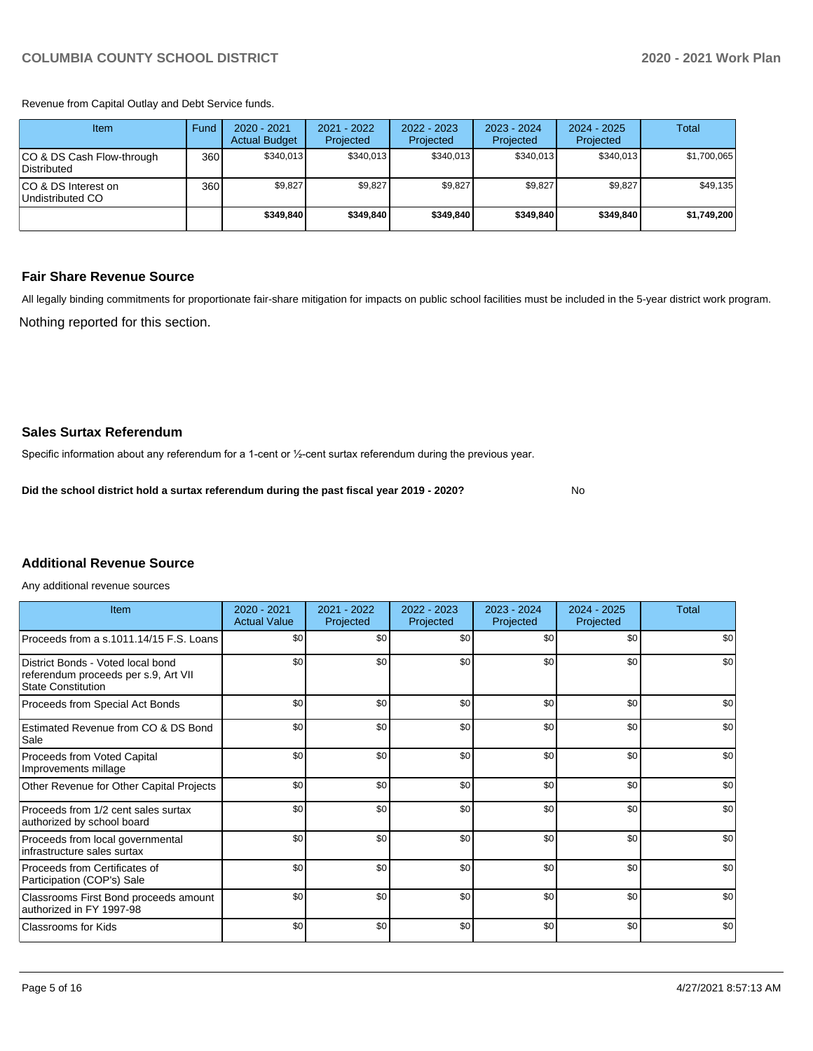Revenue from Capital Outlay and Debt Service funds.

| Item                                     | Fund | $2020 - 2021$<br><b>Actual Budget</b> | 2021 - 2022<br>Projected | 2022 - 2023<br>Projected | $2023 - 2024$<br>Projected | $2024 - 2025$<br>Projected | Total       |
|------------------------------------------|------|---------------------------------------|--------------------------|--------------------------|----------------------------|----------------------------|-------------|
| CO & DS Cash Flow-through<br>Distributed | 360  | \$340.013                             | \$340.013                | \$340.013                | \$340.013                  | \$340,013                  | \$1,700,065 |
| ICO & DS Interest on<br>Undistributed CO | 360  | \$9,827                               | \$9,827                  | \$9,827                  | \$9.827                    | \$9.827                    | \$49,135    |
|                                          |      | \$349.840                             | \$349.840                | \$349.840                | \$349.840                  | \$349.840                  | \$1,749,200 |

#### **Fair Share Revenue Source**

Nothing reported for this section. All legally binding commitments for proportionate fair-share mitigation for impacts on public school facilities must be included in the 5-year district work program.

No

#### **Sales Surtax Referendum**

Specific information about any referendum for a 1-cent or ½-cent surtax referendum during the previous year.

**Did the school district hold a surtax referendum during the past fiscal year 2019 - 2020?**

### **Additional Revenue Source**

Any additional revenue sources

| Item                                                                                                   | $2020 - 2021$<br><b>Actual Value</b> | 2021 - 2022<br>Projected | 2022 - 2023<br>Projected | $2023 - 2024$<br>Projected | $2024 - 2025$<br>Projected | Total |
|--------------------------------------------------------------------------------------------------------|--------------------------------------|--------------------------|--------------------------|----------------------------|----------------------------|-------|
| Proceeds from a s.1011.14/15 F.S. Loans                                                                | \$0                                  | \$0                      | \$0                      | \$0                        | \$0                        | \$0   |
| District Bonds - Voted local bond<br>referendum proceeds per s.9, Art VII<br><b>State Constitution</b> | \$0                                  | \$0                      | \$0                      | \$0                        | \$0                        | \$0   |
| Proceeds from Special Act Bonds                                                                        | \$0                                  | \$0                      | \$0                      | \$0                        | \$0                        | \$0   |
| Estimated Revenue from CO & DS Bond<br>Sale                                                            | \$0                                  | \$0                      | \$0                      | \$0                        | \$0                        | \$0   |
| <b>Proceeds from Voted Capital</b><br>Improvements millage                                             | \$0                                  | \$0                      | \$0                      | \$0                        | \$0                        | \$0   |
| Other Revenue for Other Capital Projects                                                               | \$0                                  | \$0                      | \$0                      | \$0                        | \$0                        | \$0   |
| Proceeds from 1/2 cent sales surtax<br>authorized by school board                                      | \$0                                  | \$0                      | \$0                      | \$0                        | \$0                        | \$0   |
| Proceeds from local governmental<br>infrastructure sales surtax                                        | \$0                                  | \$0                      | \$0                      | \$0                        | \$0                        | \$0   |
| Proceeds from Certificates of<br>Participation (COP's) Sale                                            | \$0                                  | \$0                      | \$0                      | \$0                        | \$0                        | \$0   |
| Classrooms First Bond proceeds amount<br>authorized in FY 1997-98                                      | \$0                                  | \$0                      | \$0                      | \$0                        | \$0                        | \$0   |
| Classrooms for Kids                                                                                    | \$0                                  | \$0                      | \$0                      | \$0                        | \$0                        | \$0   |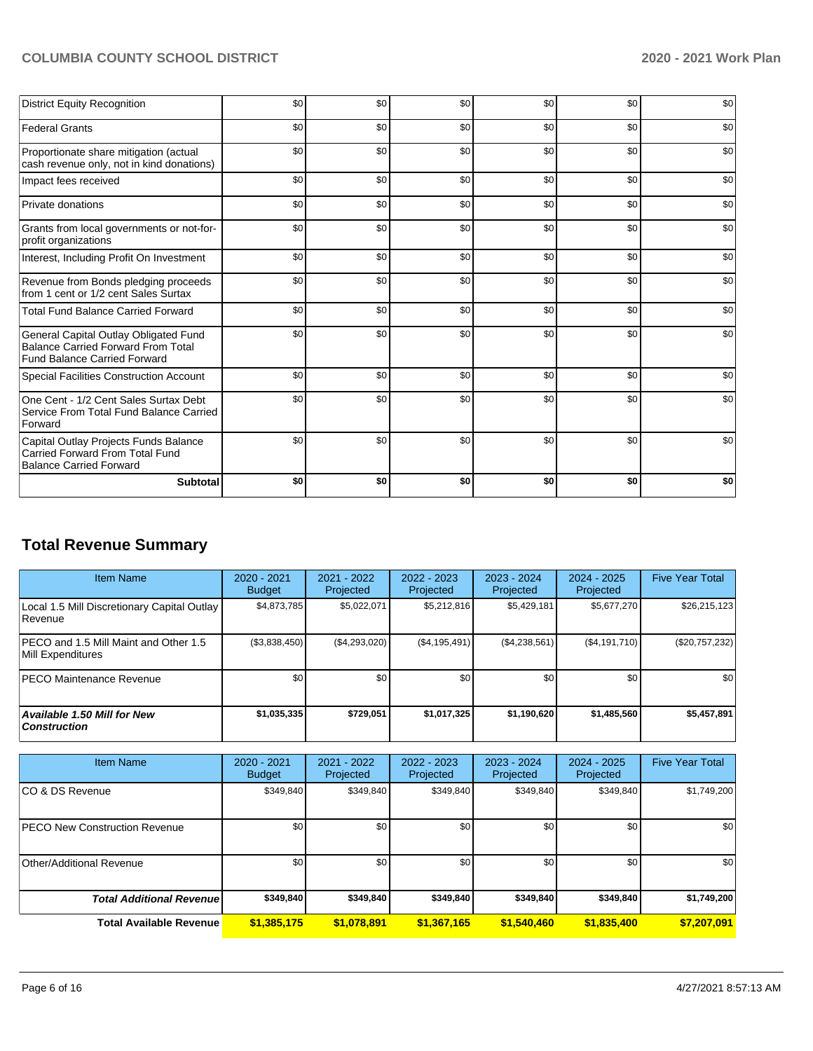| <b>District Equity Recognition</b>                                                                                        | \$0 | \$0 | \$0 | \$0 | \$0 | \$0 |
|---------------------------------------------------------------------------------------------------------------------------|-----|-----|-----|-----|-----|-----|
| <b>Federal Grants</b>                                                                                                     | \$0 | \$0 | \$0 | \$0 | \$0 | \$0 |
| Proportionate share mitigation (actual<br>cash revenue only, not in kind donations)                                       | \$0 | \$0 | \$0 | \$0 | \$0 | \$0 |
| Impact fees received                                                                                                      | \$0 | \$0 | \$0 | \$0 | \$0 | \$0 |
| Private donations                                                                                                         | \$0 | \$0 | \$0 | \$0 | \$0 | \$0 |
| Grants from local governments or not-for-<br>profit organizations                                                         | \$0 | \$0 | \$0 | \$0 | \$0 | \$0 |
| Interest, Including Profit On Investment                                                                                  | \$0 | \$0 | \$0 | \$0 | \$0 | \$0 |
| Revenue from Bonds pledging proceeds<br>from 1 cent or 1/2 cent Sales Surtax                                              | \$0 | \$0 | \$0 | \$0 | \$0 | \$0 |
| <b>Total Fund Balance Carried Forward</b>                                                                                 | \$0 | \$0 | \$0 | \$0 | \$0 | \$0 |
| General Capital Outlay Obligated Fund<br><b>Balance Carried Forward From Total</b><br><b>Fund Balance Carried Forward</b> | \$0 | \$0 | \$0 | \$0 | \$0 | \$0 |
| <b>Special Facilities Construction Account</b>                                                                            | \$0 | \$0 | \$0 | \$0 | \$0 | \$0 |
| One Cent - 1/2 Cent Sales Surtax Debt<br>Service From Total Fund Balance Carried<br>Forward                               | \$0 | \$0 | \$0 | \$0 | \$0 | \$0 |
| Capital Outlay Projects Funds Balance<br>Carried Forward From Total Fund<br><b>Balance Carried Forward</b>                | \$0 | \$0 | \$0 | \$0 | \$0 | \$0 |
| <b>Subtotal</b>                                                                                                           | \$0 | \$0 | \$0 | \$0 | \$0 | \$0 |

## **Total Revenue Summary**

| <b>Item Name</b>                                              | 2020 - 2021<br><b>Budget</b> | 2021 - 2022<br>Projected | 2022 - 2023<br>Projected | $2023 - 2024$<br>Projected | 2024 - 2025<br>Projected | <b>Five Year Total</b> |
|---------------------------------------------------------------|------------------------------|--------------------------|--------------------------|----------------------------|--------------------------|------------------------|
| Local 1.5 Mill Discretionary Capital Outlay<br><b>Revenue</b> | \$4,873,785                  | \$5,022,071              | \$5,212,816              | \$5,429,181                | \$5,677,270              | \$26,215,123           |
| PECO and 1.5 Mill Maint and Other 1.5<br>Mill Expenditures    | (\$3,838,450)                | (\$4,293,020)            | (\$4,195,491)            | (\$4,238,561)              | (\$4,191,710)            | $(\$20,757,232)$       |
| <b>PECO Maintenance Revenue</b>                               | \$0 <sub>1</sub>             | \$0                      | \$0                      | \$0                        | \$0                      | \$0                    |
| Available 1.50 Mill for New<br>  Construction                 | \$1,035,335                  | \$729.051                | \$1,017,325              | \$1,190,620                | \$1,485,560              | \$5,457,891            |

| <b>Item Name</b>                     | $2020 - 2021$<br><b>Budget</b> | $2021 - 2022$<br>Projected | $2022 - 2023$<br>Projected | $2023 - 2024$<br>Projected | $2024 - 2025$<br>Projected | <b>Five Year Total</b> |
|--------------------------------------|--------------------------------|----------------------------|----------------------------|----------------------------|----------------------------|------------------------|
| ICO & DS Revenue                     | \$349,840                      | \$349,840                  | \$349,840                  | \$349,840                  | \$349,840                  | \$1,749,200            |
| <b>PECO New Construction Revenue</b> | \$0                            | \$0                        | \$0                        | \$0                        | \$0 <sub>1</sub>           | \$0                    |
| Other/Additional Revenue             | \$0                            | \$0                        | \$0                        | \$0                        | \$0 <sub>1</sub>           | \$0                    |
| <b>Total Additional Revenue</b>      | \$349,840                      | \$349,840                  | \$349,840                  | \$349,840                  | \$349,840                  | \$1,749,200            |
| <b>Total Available Revenue</b>       | \$1,385,175                    | \$1,078,891                | \$1,367,165                | \$1,540,460                | \$1,835,400                | \$7,207,091            |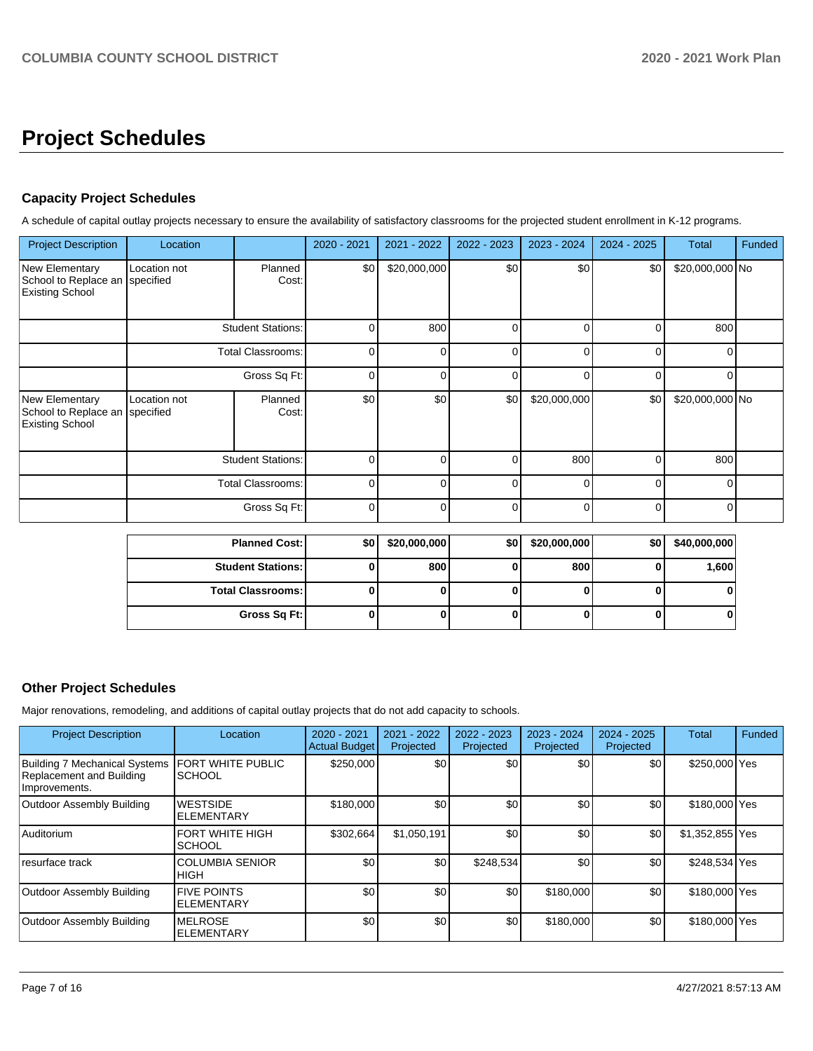# **Project Schedules**

### **Capacity Project Schedules**

A schedule of capital outlay projects necessary to ensure the availability of satisfactory classrooms for the projected student enrollment in K-12 programs.

| <b>Project Description</b>                                                 | Location                  |                          | 2020 - 2021 | 2021 - 2022  | 2022 - 2023 | 2023 - 2024  | 2024 - 2025 | <b>Total</b>    | Funded |
|----------------------------------------------------------------------------|---------------------------|--------------------------|-------------|--------------|-------------|--------------|-------------|-----------------|--------|
| <b>New Elementary</b><br>School to Replace an<br><b>Existing School</b>    | Location not<br>specified | Planned<br>Cost:         | \$0         | \$20,000,000 | \$0         | \$0          | \$0         | \$20,000,000 No |        |
|                                                                            |                           | <b>Student Stations:</b> | 0           | 800          | $\Omega$    | $\Omega$     | $\Omega$    | 800             |        |
|                                                                            | Total Classrooms:         | 0                        | 0           | 0            | 0           | $\Omega$     | 0           |                 |        |
|                                                                            |                           | Gross Sq Ft:             | 0           | 0            | 0           | 0            | $\Omega$    | $\Omega$        |        |
| New Elementary<br>School to Replace an specified<br><b>Existing School</b> | Location not              | Planned<br>Cost:         | \$0         | \$0          | \$0         | \$20,000,000 | \$0         | \$20,000,000 No |        |
|                                                                            | <b>Student Stations:</b>  |                          | 0           | O            | $\Omega$    | 800          | $\Omega$    | 800             |        |
|                                                                            | <b>Total Classrooms:</b>  |                          | 0           | O            | $\Omega$    | n            | n           | ∩               |        |
|                                                                            |                           | Gross Sq Ft:             | 0           | 0            | $\Omega$    | $\Omega$     | $\Omega$    | $\Omega$        |        |

| <b>Planned Cost: I</b>   | \$0 | \$20,000,000 | \$0 | \$20,000,000 | \$0 <sub>1</sub> | \$40,000,000 |
|--------------------------|-----|--------------|-----|--------------|------------------|--------------|
| <b>Student Stations:</b> |     | 800          |     | 800          |                  | 1,600        |
| <b>Total Classrooms:</b> |     |              |     |              |                  | 0            |
| Gross Sq Ft:             | υ   |              | υ   |              |                  | 0            |

### **Other Project Schedules**

Major renovations, remodeling, and additions of capital outlay projects that do not add capacity to schools.

| <b>Project Description</b>                                                 | Location                                  | 2020 - 2021<br><b>Actual Budget</b> | 2021 - 2022<br>Projected | 2022 - 2023<br>Projected | 2023 - 2024<br>Projected | $2024 - 2025$<br>Projected | Total           | Funded |
|----------------------------------------------------------------------------|-------------------------------------------|-------------------------------------|--------------------------|--------------------------|--------------------------|----------------------------|-----------------|--------|
| Building 7 Mechanical Systems<br>Replacement and Building<br>Improvements. | <b>FORT WHITE PUBLIC</b><br><b>SCHOOL</b> | \$250,000                           | \$0                      | \$0                      | \$0                      | \$0                        | \$250,000 Yes   |        |
| <b>Outdoor Assembly Building</b>                                           | <b>WESTSIDE</b><br><b>I</b> ELEMENTARY    | \$180,000                           | \$0                      | \$0                      | \$0                      | \$0                        | \$180,000 Yes   |        |
| Auditorium                                                                 | <b>FORT WHITE HIGH</b><br><b>SCHOOL</b>   | \$302.664                           | \$1.050.191              | \$0                      | \$0                      | \$0                        | \$1,352,855 Yes |        |
| resurface track                                                            | <b>COLUMBIA SENIOR</b><br>IHIGH           | \$0                                 | \$0                      | \$248,534                | \$0                      | \$0                        | \$248,534 Yes   |        |
| Outdoor Assembly Building                                                  | <b>FIVE POINTS</b><br><b>IELEMENTARY</b>  | \$0                                 | \$0                      | \$0                      | \$180,000                | \$0                        | \$180,000 Yes   |        |
| Outdoor Assembly Building                                                  | <b>MELROSE</b><br><b>ELEMENTARY</b>       | \$0                                 | \$0                      | \$0                      | \$180,000                | \$0                        | \$180,000 Yes   |        |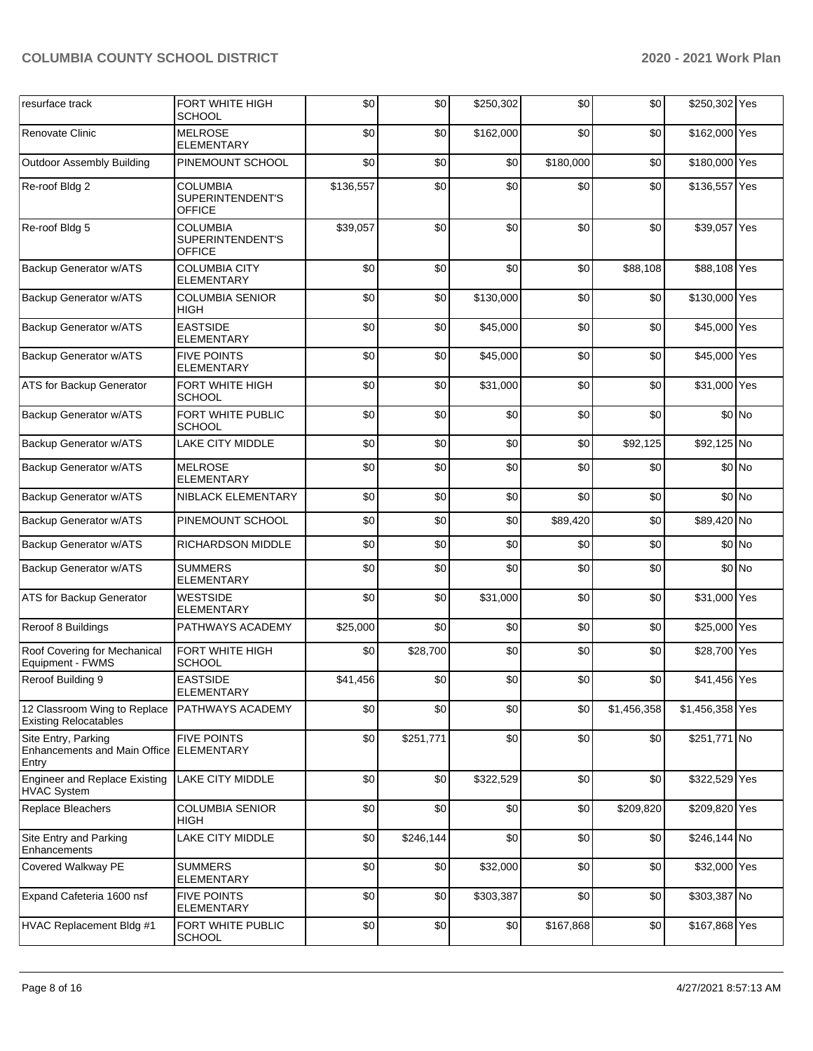| resurface track                                                     | FORT WHITE HIGH<br><b>SCHOOL</b>                     | \$0       | \$0       | \$250,302 | \$0       | \$0         | \$250,302 Yes   |        |
|---------------------------------------------------------------------|------------------------------------------------------|-----------|-----------|-----------|-----------|-------------|-----------------|--------|
| Renovate Clinic                                                     | <b>MELROSE</b><br><b>ELEMENTARY</b>                  | \$0       | \$0       | \$162,000 | \$0       | \$0         | \$162,000 Yes   |        |
| <b>Outdoor Assembly Building</b>                                    | PINEMOUNT SCHOOL                                     | \$0       | \$0       | \$0       | \$180,000 | \$0         | \$180,000 Yes   |        |
| Re-roof Bldg 2                                                      | COLUMBIA<br>SUPERINTENDENT'S<br><b>OFFICE</b>        | \$136,557 | \$0       | \$0       | \$0       | \$0         | \$136,557 Yes   |        |
| Re-roof Bldg 5                                                      | <b>COLUMBIA</b><br>SUPERINTENDENT'S<br><b>OFFICE</b> | \$39,057  | \$0       | \$0       | \$0       | \$0         | \$39,057 Yes    |        |
| Backup Generator w/ATS                                              | <b>COLUMBIA CITY</b><br><b>ELEMENTARY</b>            | \$0       | \$0       | \$0       | \$0       | \$88,108    | \$88,108 Yes    |        |
| Backup Generator w/ATS                                              | <b>COLUMBIA SENIOR</b><br>HIGH                       | \$0       | \$0       | \$130,000 | \$0       | \$0         | \$130,000 Yes   |        |
| Backup Generator w/ATS                                              | <b>EASTSIDE</b><br><b>ELEMENTARY</b>                 | \$0       | \$0       | \$45,000  | \$0       | \$0         | \$45,000 Yes    |        |
| Backup Generator w/ATS                                              | <b>FIVE POINTS</b><br><b>ELEMENTARY</b>              | \$0       | \$0       | \$45,000  | \$0       | \$0         | \$45,000 Yes    |        |
| ATS for Backup Generator                                            | FORT WHITE HIGH<br><b>SCHOOL</b>                     | \$0       | \$0       | \$31,000  | \$0       | \$0         | \$31,000 Yes    |        |
| Backup Generator w/ATS                                              | FORT WHITE PUBLIC<br><b>SCHOOL</b>                   | \$0       | \$0       | \$0       | \$0       | \$0         |                 | \$0 No |
| Backup Generator w/ATS                                              | <b>LAKE CITY MIDDLE</b>                              | \$0       | \$0       | \$0       | \$0       | \$92,125    | \$92,125 No     |        |
| Backup Generator w/ATS                                              | <b>MELROSE</b><br><b>ELEMENTARY</b>                  | \$0       | \$0       | \$0       | \$0       | \$0         |                 | \$0 No |
| Backup Generator w/ATS                                              | NIBLACK ELEMENTARY                                   | \$0       | \$0       | \$0       | \$0       | \$0         |                 | \$0 No |
| Backup Generator w/ATS                                              | PINEMOUNT SCHOOL                                     | \$0       | \$0       | \$0       | \$89,420  | \$0         | \$89,420 No     |        |
| Backup Generator w/ATS                                              | RICHARDSON MIDDLE                                    | \$0       | \$0       | \$0       | \$0       | \$0         |                 | \$0 No |
| Backup Generator w/ATS                                              | <b>SUMMERS</b><br><b>ELEMENTARY</b>                  | \$0       | \$0       | \$0       | \$0       | \$0         |                 | \$0 No |
| ATS for Backup Generator                                            | WESTSIDE<br><b>ELEMENTARY</b>                        | \$0       | \$0       | \$31,000  | \$0       | \$0         | \$31,000 Yes    |        |
| Reroof 8 Buildings                                                  | PATHWAYS ACADEMY                                     | \$25,000  | \$0       | \$0       | \$0       | \$0         | \$25,000 Yes    |        |
| Roof Covering for Mechanical<br>Equipment - FWMS                    | FORT WHITE HIGH<br><b>SCHOOL</b>                     | \$0       | \$28,700  | \$0       | \$0       | \$0         | \$28,700 Yes    |        |
| Reroof Building 9                                                   | <b>EASTSIDE</b><br>ELEMENTARY                        | \$41,456  | \$0       | \$0       | \$0       | \$0         | \$41,456 Yes    |        |
| 12 Classroom Wing to Replace<br>Existing Relocatables               | PATHWAYS ACADEMY                                     | \$0       | \$0       | \$0       | \$0       | \$1,456,358 | \$1,456,358 Yes |        |
| Site Entry, Parking<br><b>Enhancements and Main Office</b><br>Entry | <b>FIVE POINTS</b><br><b>ELEMENTARY</b>              | \$0       | \$251,771 | \$0       | \$0       | \$0         | \$251,771 No    |        |
| <b>Engineer and Replace Existing</b><br><b>HVAC System</b>          | LAKE CITY MIDDLE                                     | \$0       | \$0       | \$322,529 | \$0       | \$0         | \$322,529 Yes   |        |
| Replace Bleachers                                                   | <b>COLUMBIA SENIOR</b><br>HIGH                       | \$0       | \$0       | \$0       | \$0       | \$209,820   | \$209,820 Yes   |        |
| Site Entry and Parking<br>Enhancements                              | LAKE CITY MIDDLE                                     | \$0       | \$246,144 | \$0       | \$0       | \$0         | \$246,144 No    |        |
| Covered Walkway PE                                                  | <b>SUMMERS</b><br><b>ELEMENTARY</b>                  | \$0       | \$0       | \$32,000  | \$0       | \$0         | \$32,000 Yes    |        |
| Expand Cafeteria 1600 nsf                                           | <b>FIVE POINTS</b><br>ELEMENTARY                     | \$0       | \$0       | \$303,387 | \$0       | \$0         | \$303,387 No    |        |
| HVAC Replacement Bldg #1                                            | FORT WHITE PUBLIC<br><b>SCHOOL</b>                   | \$0       | \$0       | \$0       | \$167,868 | \$0         | \$167,868 Yes   |        |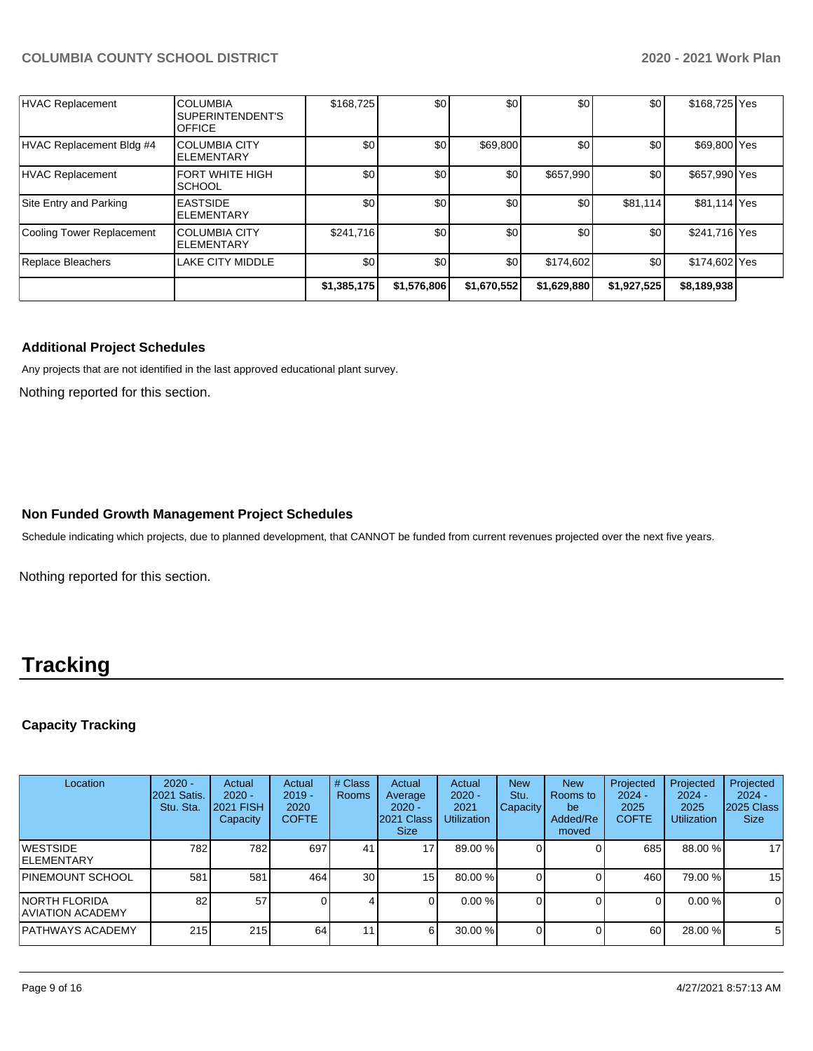| <b>Replace Bleachers</b>  | <b>COLUMBIA CITY</b><br><b>IELEMENTARY</b><br>LAKE CITY MIDDLE | \$241,716<br>\$0 <sub>1</sub> | \$0<br>\$0 | \$0<br>\$0 | \$0<br>\$174,602 | \$0<br>\$0 | \$241,716 Yes<br>\$174,602 Yes |  |
|---------------------------|----------------------------------------------------------------|-------------------------------|------------|------------|------------------|------------|--------------------------------|--|
|                           |                                                                |                               |            |            |                  |            |                                |  |
| Cooling Tower Replacement |                                                                |                               |            |            |                  |            |                                |  |
| Site Entry and Parking    | <b>EASTSIDE</b><br><b>ELEMENTARY</b>                           | \$0                           | \$0        | \$0        | \$0              | \$81.114   | \$81,114 Yes                   |  |
| HVAC Replacement          | <b>FORT WHITE HIGH</b><br><b>SCHOOL</b>                        | \$0                           | \$0        | \$0        | \$657,990        | \$0        | \$657,990 Yes                  |  |
| HVAC Replacement Bldg #4  | ICOLUMBIA CITY<br><b>ELEMENTARY</b>                            | \$0                           | \$0        | \$69,800   | \$0              | \$0        | \$69,800 Yes                   |  |
| HVAC Replacement          | <b>COLUMBIA</b><br>SUPERINTENDENT'S<br><b>OFFICE</b>           | \$168,725                     | \$0        | \$0        | \$0              | \$0        | \$168,725 Yes                  |  |

#### **Additional Project Schedules**

Any projects that are not identified in the last approved educational plant survey.

Nothing reported for this section.

#### **Non Funded Growth Management Project Schedules**

Schedule indicating which projects, due to planned development, that CANNOT be funded from current revenues projected over the next five years.

Nothing reported for this section.

## **Tracking**

### **Capacity Tracking**

| Location                                        | $2020 -$<br><b>2021 Satis.</b><br>Stu. Sta. | Actual<br>$2020 -$<br><b>2021 FISH</b><br>Capacity | Actual<br>$2019 -$<br>2020<br><b>COFTE</b> | # Class<br><b>Rooms</b> | Actual<br>Average<br>$2020 -$<br>2021 Class<br><b>Size</b> | Actual<br>$2020 -$<br>2021<br><b>Utilization</b> | <b>New</b><br>Stu.<br><b>Capacity</b> | <b>New</b><br>Rooms to<br>be<br>Added/Re<br>moved | Projected<br>$2024 -$<br>2025<br><b>COFTE</b> | Projected<br>$2024 -$<br>2025<br><b>Utilization</b> | Projected<br>$2024 -$<br>2025 Class<br><b>Size</b> |
|-------------------------------------------------|---------------------------------------------|----------------------------------------------------|--------------------------------------------|-------------------------|------------------------------------------------------------|--------------------------------------------------|---------------------------------------|---------------------------------------------------|-----------------------------------------------|-----------------------------------------------------|----------------------------------------------------|
| <b>WESTSIDE</b><br><b>ELEMENTARY</b>            | 782                                         | 782                                                | 697                                        | 41                      | 17 <sub>l</sub>                                            | 89.00 %                                          |                                       |                                                   | 685                                           | 88.00 %                                             | 17                                                 |
| PINEMOUNT SCHOOL                                | 581                                         | 581                                                | 464                                        | 30                      | 15 <sub>l</sub>                                            | 80.00 %                                          |                                       |                                                   | 460                                           | 79.00 %                                             | 15                                                 |
| <b>NORTH FLORIDA</b><br><b>AVIATION ACADEMY</b> | 82I                                         | 57                                                 |                                            |                         |                                                            | 0.00%                                            |                                       |                                                   |                                               | 0.00%                                               | 0                                                  |
| PATHWAYS ACADEMY                                | 215                                         | 215                                                | 64                                         | 11 <sub>1</sub>         | 6                                                          | 30.00 %                                          |                                       |                                                   | 60                                            | 28.00 %                                             | 5                                                  |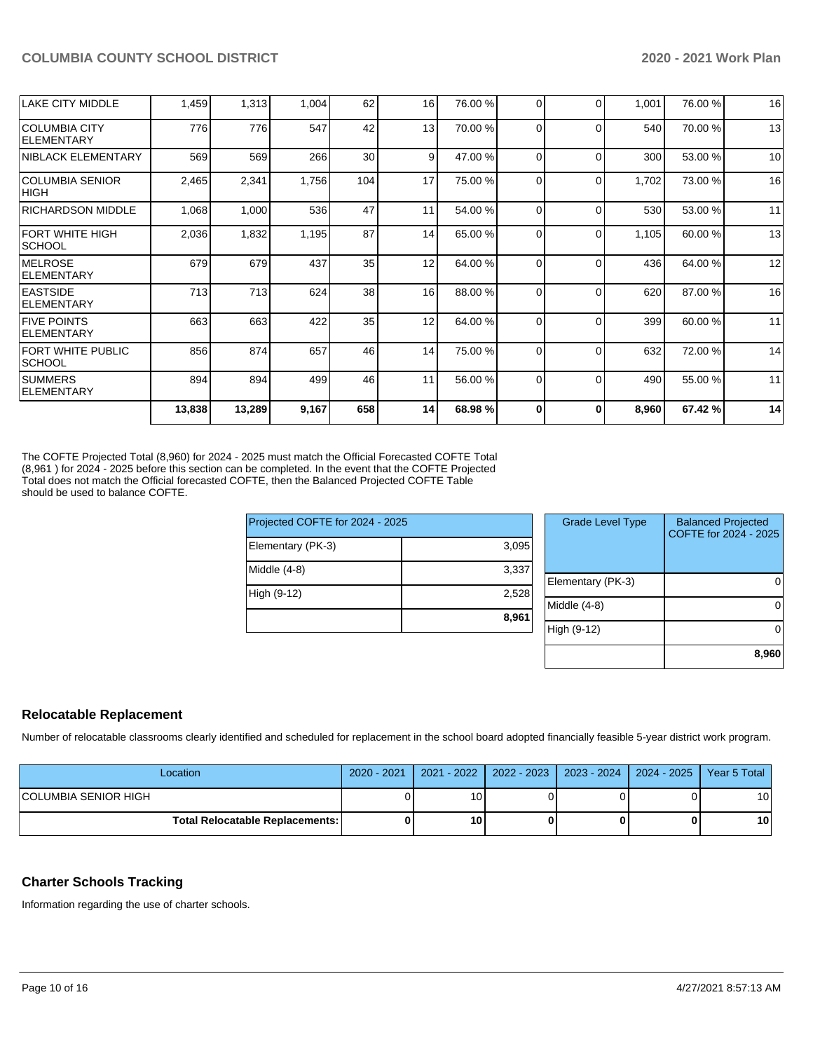| 13<br>776<br>547<br>42<br> COLUMBIA CITY<br>776<br>70.00 %<br>0<br>540<br>0<br>ELEMENTARY<br>30<br>9<br>569<br>569<br>266<br>300<br><b>NIBLACK ELEMENTARY</b><br>47.00 %<br>0<br>$\Omega$<br>17<br>2,465<br>2,341<br>1,756<br>104<br>75.00 %<br>1,702<br><b>COLUMBIA SENIOR</b><br>0<br>0<br> HIGH<br>47<br>536<br>11<br>530<br>1,068<br>1,000<br>54.00 %<br><b>RICHARDSON MIDDLE</b><br>$\Omega$<br>$\Omega$<br>87<br>2,036<br>1,832<br>14<br>65.00 %<br>FORT WHITE HIGH<br>1,195<br>1,105<br>0<br>0<br><b>SCHOOL</b><br>12<br>679<br>437<br>35<br>679<br>436<br><b>IMELROSE</b><br>64.00 %<br>0<br>$\Omega$<br><b>ELEMENTARY</b><br>38<br>16<br><b>EASTSIDE</b><br>713<br>713<br>624<br>88.00 %<br>620<br>$\Omega$<br>∩<br><b>IELEMENTARY</b><br>35<br>12<br>663<br>663<br>422<br>64.00 %<br>0<br>399<br>$\Omega$<br><b>ELEMENTARY</b><br>874<br>14<br>856<br>657<br>46<br>632<br>FORT WHITE PUBLIC<br>75.00 %<br>0<br>$\Omega$<br><b>SCHOOL</b><br><b>SUMMERS</b><br>894<br>894<br>499<br>46<br>11<br>490<br>56.00 %<br>$\Omega$<br>$\Omega$<br><b>ELEMENTARY</b> | 14<br>68.98 %<br>8,960<br>67.42 %<br>$\bf{0}$<br>O | 14 | 658 | 9,167 | 13,289 | 13,838 |                         |
|----------------------------------------------------------------------------------------------------------------------------------------------------------------------------------------------------------------------------------------------------------------------------------------------------------------------------------------------------------------------------------------------------------------------------------------------------------------------------------------------------------------------------------------------------------------------------------------------------------------------------------------------------------------------------------------------------------------------------------------------------------------------------------------------------------------------------------------------------------------------------------------------------------------------------------------------------------------------------------------------------------------------------------------------------------------------|----------------------------------------------------|----|-----|-------|--------|--------|-------------------------|
| <b>FIVE POINTS</b>                                                                                                                                                                                                                                                                                                                                                                                                                                                                                                                                                                                                                                                                                                                                                                                                                                                                                                                                                                                                                                                   | 11<br>55.00 %                                      |    |     |       |        |        |                         |
|                                                                                                                                                                                                                                                                                                                                                                                                                                                                                                                                                                                                                                                                                                                                                                                                                                                                                                                                                                                                                                                                      | 14<br>72.00 %                                      |    |     |       |        |        |                         |
|                                                                                                                                                                                                                                                                                                                                                                                                                                                                                                                                                                                                                                                                                                                                                                                                                                                                                                                                                                                                                                                                      | 60.00 %<br>11                                      |    |     |       |        |        |                         |
|                                                                                                                                                                                                                                                                                                                                                                                                                                                                                                                                                                                                                                                                                                                                                                                                                                                                                                                                                                                                                                                                      | 16<br>87.00 %                                      |    |     |       |        |        |                         |
|                                                                                                                                                                                                                                                                                                                                                                                                                                                                                                                                                                                                                                                                                                                                                                                                                                                                                                                                                                                                                                                                      | 12<br>64.00 %                                      |    |     |       |        |        |                         |
|                                                                                                                                                                                                                                                                                                                                                                                                                                                                                                                                                                                                                                                                                                                                                                                                                                                                                                                                                                                                                                                                      | 13<br>60.00 %                                      |    |     |       |        |        |                         |
|                                                                                                                                                                                                                                                                                                                                                                                                                                                                                                                                                                                                                                                                                                                                                                                                                                                                                                                                                                                                                                                                      | 11<br>53.00 %                                      |    |     |       |        |        |                         |
|                                                                                                                                                                                                                                                                                                                                                                                                                                                                                                                                                                                                                                                                                                                                                                                                                                                                                                                                                                                                                                                                      | 16<br>73.00 %                                      |    |     |       |        |        |                         |
|                                                                                                                                                                                                                                                                                                                                                                                                                                                                                                                                                                                                                                                                                                                                                                                                                                                                                                                                                                                                                                                                      | 10<br>53.00 %                                      |    |     |       |        |        |                         |
|                                                                                                                                                                                                                                                                                                                                                                                                                                                                                                                                                                                                                                                                                                                                                                                                                                                                                                                                                                                                                                                                      | 13<br>70.00 %                                      |    |     |       |        |        |                         |
|                                                                                                                                                                                                                                                                                                                                                                                                                                                                                                                                                                                                                                                                                                                                                                                                                                                                                                                                                                                                                                                                      | 16<br>76.00 %<br>1,001<br>76.00 %<br>0<br>0        | 16 | 62  | 1,004 | 1,313  | 1,459  | <b>LAKE CITY MIDDLE</b> |

The COFTE Projected Total (8,960) for 2024 - 2025 must match the Official Forecasted COFTE Total (8,961) for 2024 - 2025 before this section can be completed. In the event that the COFTE Projected Total does not match the Official forecasted COFTE, then the Balanced Projected COFTE Table should be used to balance COFTE.

| Projected COFTE for 2024 - 2025 |       |  |  |  |  |
|---------------------------------|-------|--|--|--|--|
| Elementary (PK-3)               | 3,095 |  |  |  |  |
| Middle $(4-8)$                  | 3,337 |  |  |  |  |
| High (9-12)                     | 2,528 |  |  |  |  |
|                                 | 8,961 |  |  |  |  |

| <b>Grade Level Type</b> | <b>Balanced Projected</b><br>COFTE for 2024 - 2025 |
|-------------------------|----------------------------------------------------|
| Elementary (PK-3)       |                                                    |
| Middle (4-8)            |                                                    |
| High (9-12)             |                                                    |
|                         | 8,960                                              |

#### **Relocatable Replacement**

Number of relocatable classrooms clearly identified and scheduled for replacement in the school board adopted financially feasible 5-year district work program.

| Location                        | 2020 - 2021 |                 | 2021 - 2022   2022 - 2023   2023 - 2024   2024 - 2025   Year 5 Total |    |
|---------------------------------|-------------|-----------------|----------------------------------------------------------------------|----|
| <b>COLUMBIA SENIOR HIGH</b>     |             |                 |                                                                      | 10 |
| Total Relocatable Replacements: |             | 10 <sub>1</sub> | o                                                                    | 10 |

#### **Charter Schools Tracking**

Information regarding the use of charter schools.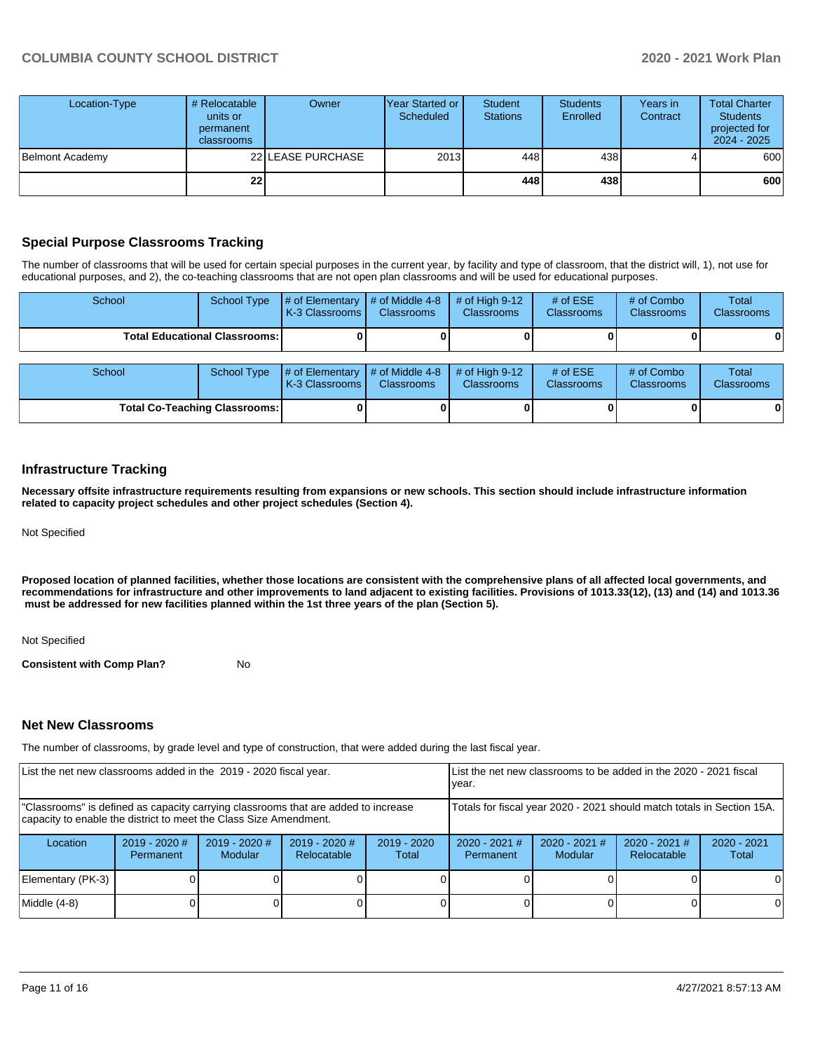| Location-Type   | # Relocatable<br>units or<br>permanent<br><b>classrooms</b> | Owner             | Year Started or  <br>Scheduled | <b>Student</b><br><b>Stations</b> | <b>Students</b><br>Enrolled | Years in<br>Contract | <b>Total Charter</b><br><b>Students</b><br>projected for<br>$2024 - 2025$ |
|-----------------|-------------------------------------------------------------|-------------------|--------------------------------|-----------------------------------|-----------------------------|----------------------|---------------------------------------------------------------------------|
| Belmont Academy |                                                             | 22 LEASE PURCHASE | 2013                           | 448                               | 438 l                       |                      | 600                                                                       |
|                 | 22 <sub>1</sub>                                             |                   |                                | 448                               | 438 l                       |                      | 600                                                                       |

#### **Special Purpose Classrooms Tracking**

The number of classrooms that will be used for certain special purposes in the current year, by facility and type of classroom, that the district will, 1), not use for educational purposes, and 2), the co-teaching classrooms that are not open plan classrooms and will be used for educational purposes.

| School                                 | School Type |                                                                   | $\#$ of Elementary $\#$ of Middle 4-8<br>K-3 Classrooms<br><b>Classrooms</b> | $#$ of High 9-12<br><b>Classrooms</b> | # of $ESE$<br><b>Classrooms</b> | # of Combo<br><b>Classrooms</b> | Total<br><b>Classrooms</b> |
|----------------------------------------|-------------|-------------------------------------------------------------------|------------------------------------------------------------------------------|---------------------------------------|---------------------------------|---------------------------------|----------------------------|
| <b>Total Educational Classrooms: I</b> |             |                                                                   |                                                                              |                                       |                                 |                                 | 0                          |
|                                        |             |                                                                   |                                                                              |                                       |                                 |                                 |                            |
| School                                 | School Type | $\sharp$ of Elementary $\sharp$ of Middle 4-8<br>K-3 Classrooms I | <b>Classrooms</b>                                                            | # of High $9-12$<br><b>Classrooms</b> | # of $ESE$<br><b>Classrooms</b> | # of Combo<br><b>Classrooms</b> | Total<br><b>Classrooms</b> |

**Total Co-Teaching Classrooms: 0 0 0 0 0 0**

#### **Infrastructure Tracking**

**Necessary offsite infrastructure requirements resulting from expansions or new schools. This section should include infrastructure information related to capacity project schedules and other project schedules (Section 4).** 

Not Specified

**Proposed location of planned facilities, whether those locations are consistent with the comprehensive plans of all affected local governments, and recommendations for infrastructure and other improvements to land adjacent to existing facilities. Provisions of 1013.33(12), (13) and (14) and 1013.36** must be addressed for new facilities planned within the 1st three years of the plan (Section 5).

#### Not Specified

**Consistent with Comp Plan?** No

#### **Net New Classrooms**

The number of classrooms, by grade level and type of construction, that were added during the last fiscal year.

| List the net new classrooms added in the 2019 - 2020 fiscal year.                                                                                       | List the net new classrooms to be added in the 2020 - 2021 fiscal<br>year. |                                   |                                       |                        |                                                                        |                                   |                                |                        |
|---------------------------------------------------------------------------------------------------------------------------------------------------------|----------------------------------------------------------------------------|-----------------------------------|---------------------------------------|------------------------|------------------------------------------------------------------------|-----------------------------------|--------------------------------|------------------------|
| "Classrooms" is defined as capacity carrying classrooms that are added to increase<br>capacity to enable the district to meet the Class Size Amendment. |                                                                            |                                   |                                       |                        | Totals for fiscal year 2020 - 2021 should match totals in Section 15A. |                                   |                                |                        |
| Location                                                                                                                                                | $2019 - 2020$ #<br>Permanent                                               | $2019 - 2020$ #<br><b>Modular</b> | $2019 - 2020$ #<br><b>Relocatable</b> | $2019 - 2020$<br>Total | $2020 - 2021$ #<br>Permanent                                           | $2020 - 2021$ #<br><b>Modular</b> | $2020 - 2021$ #<br>Relocatable | $2020 - 2021$<br>Total |
| Elementary (PK-3)                                                                                                                                       |                                                                            |                                   |                                       |                        |                                                                        |                                   |                                |                        |
| Middle (4-8)                                                                                                                                            |                                                                            |                                   |                                       |                        |                                                                        |                                   |                                | 0                      |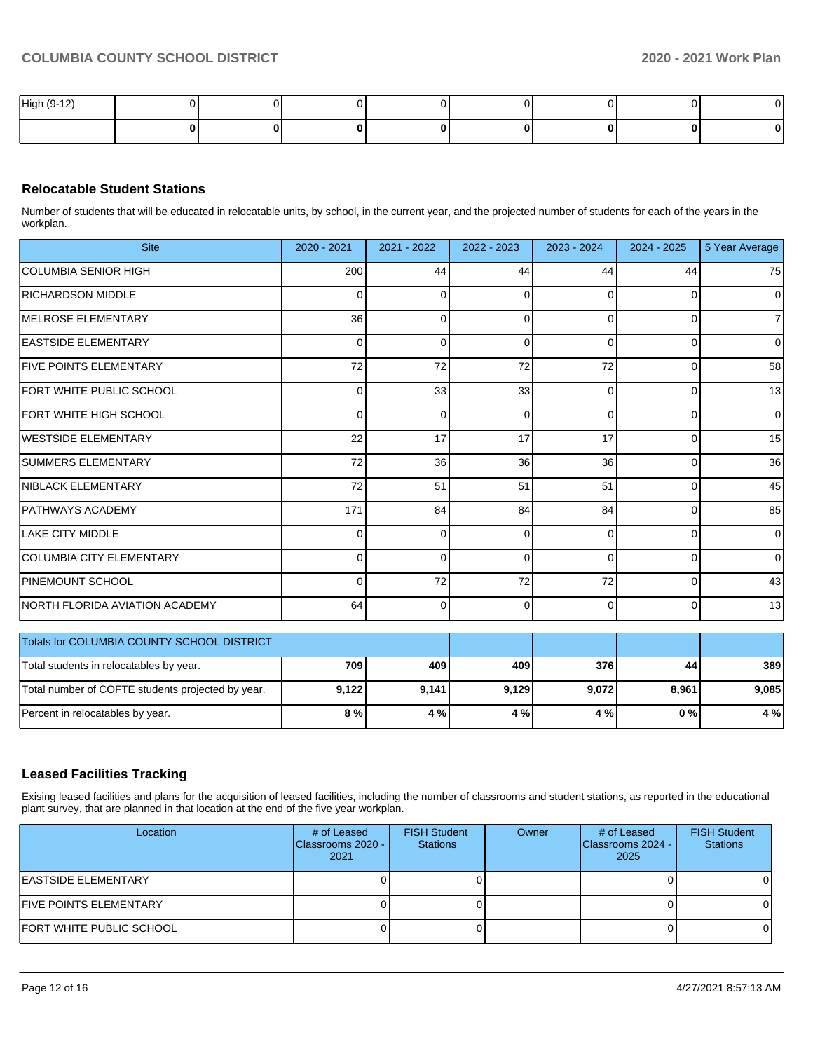| High (9-12) |  |  |  |  |
|-------------|--|--|--|--|
|             |  |  |  |  |

#### **Relocatable Student Stations**

Number of students that will be educated in relocatable units, by school, in the current year, and the projected number of students for each of the years in the workplan.

| <b>Site</b>                     | 2020 - 2021    | 2021 - 2022 | 2022 - 2023 | 2023 - 2024  | 2024 - 2025 | 5 Year Average |
|---------------------------------|----------------|-------------|-------------|--------------|-------------|----------------|
| <b>COLUMBIA SENIOR HIGH</b>     | 200            | 44          | 44          | 44           | 44          | 75             |
| <b>RICHARDSON MIDDLE</b>        | $\Omega$       | $\Omega$    | $\Omega$    | <sup>0</sup> | $\Omega$    | $\Omega$       |
| MELROSE ELEMENTARY              | 36             | 0           | $\Omega$    | $\Omega$     | $\Omega$    | $\overline{7}$ |
| <b>EASTSIDE ELEMENTARY</b>      | $\overline{0}$ | 0           | 0           | 0            | 0           | 0              |
| <b>FIVE POINTS ELEMENTARY</b>   | 72             | 72          | 72          | 72           | $\Omega$    | 58             |
| <b>FORT WHITE PUBLIC SCHOOL</b> | 0              | 33          | 33          | 0            | $\Omega$    | 13             |
| <b>FORT WHITE HIGH SCHOOL</b>   | $\overline{0}$ | $\Omega$    | $\Omega$    | $\Omega$     | $\Omega$    | 0              |
| <b>WESTSIDE ELEMENTARY</b>      | 22             | 17          | 17          | 17           | $\Omega$    | 15             |
| <b>SUMMERS ELEMENTARY</b>       | 72             | 36          | 36          | 36           | $\Omega$    | 36             |
| <b>NIBLACK ELEMENTARY</b>       | 72             | 51          | 51          | 51           | $\Omega$    | 45             |
| <b>PATHWAYS ACADEMY</b>         | 171            | 84          | 84          | 84           | $\Omega$    | 85             |
| LAKE CITY MIDDLE                | $\Omega$       | $\Omega$    | $\Omega$    | O            | $\Omega$    | 0              |
| <b>COLUMBIA CITY ELEMENTARY</b> | $\Omega$       | 0           | $\Omega$    | $\Omega$     | $\Omega$    | 0              |
| PINEMOUNT SCHOOL                | $\Omega$       | 72          | 72          | 72           | $\Omega$    | 43             |
| NORTH FLORIDA AVIATION ACADEMY  | 64             | $\Omega$    | $\Omega$    | $\Omega$     | $\Omega$    | 13             |

| Totals for COLUMBIA COUNTY SCHOOL DISTRICT        |                |       |       |       |
|---------------------------------------------------|----------------|-------|-------|-------|
| Total students in relocatables by year.           | 409<br>409     | 376   | 44    | 389   |
| Total number of COFTE students projected by year. | 9,141<br>9.129 | 9.072 | 8,961 | 9.085 |
| Percent in relocatables by year.                  | 4%             | 4 % I | 0%    | 4%    |

### **Leased Facilities Tracking**

Exising leased facilities and plans for the acquisition of leased facilities, including the number of classrooms and student stations, as reported in the educational plant survey, that are planned in that location at the end of the five year workplan.

| Location                       | # of Leased<br>Classrooms 2020 -<br>2021 | <b>FISH Student</b><br><b>Stations</b> | Owner | # of Leased<br>Classrooms 2024 -<br>2025 | <b>FISH Student</b><br><b>Stations</b> |
|--------------------------------|------------------------------------------|----------------------------------------|-------|------------------------------------------|----------------------------------------|
| <b>EASTSIDE ELEMENTARY</b>     |                                          |                                        |       |                                          |                                        |
| <b>IFIVE POINTS ELEMENTARY</b> |                                          |                                        |       |                                          |                                        |
| FORT WHITE PUBLIC SCHOOL       |                                          |                                        |       |                                          |                                        |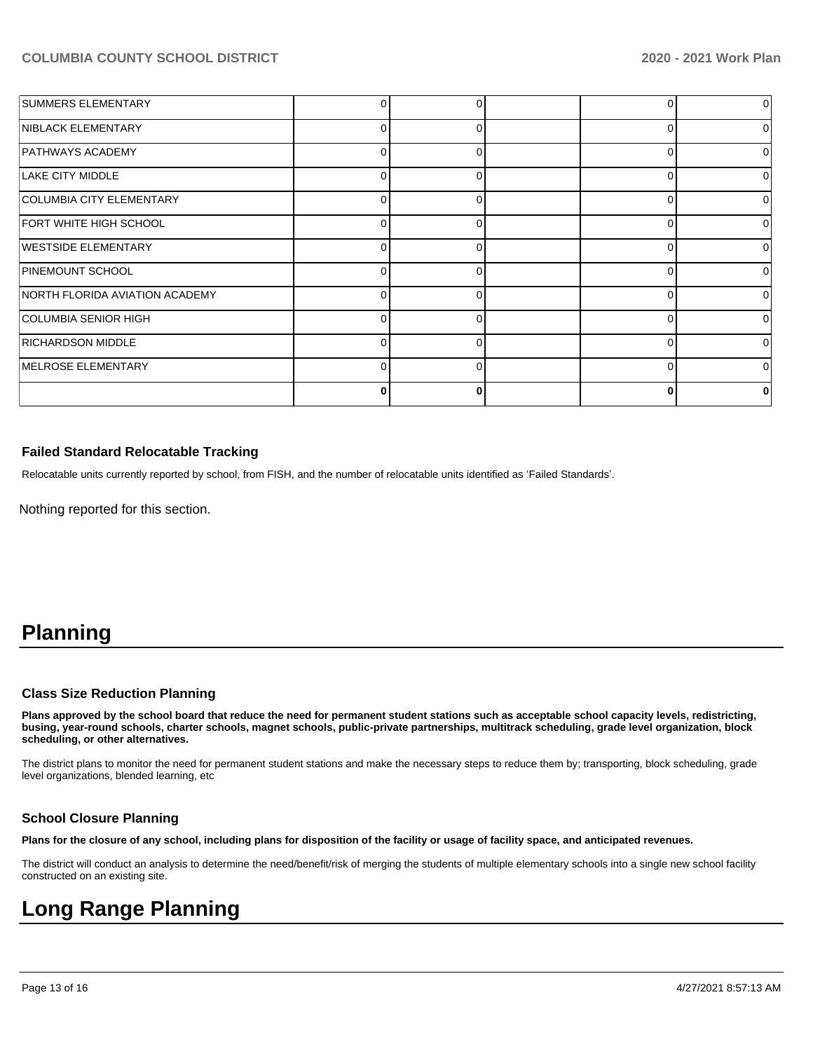| <b>SUMMERS ELEMENTARY</b>      |          |   |   | $\overline{0}$ |
|--------------------------------|----------|---|---|----------------|
| NIBLACK ELEMENTARY             | 0        | 0 | ი | 0              |
| <b>PATHWAYS ACADEMY</b>        | 0        | O | U | 0              |
| LAKE CITY MIDDLE               | U        |   |   | O              |
| COLUMBIA CITY ELEMENTARY       |          |   |   | 0              |
| FORT WHITE HIGH SCHOOL         | $\Omega$ | U | ∩ | $\Omega$       |
| <b>WESTSIDE ELEMENTARY</b>     | n        | ∩ |   | 0              |
| PINEMOUNT SCHOOL               | O        | ∩ |   | $\Omega$       |
| NORTH FLORIDA AVIATION ACADEMY | O        | 0 |   | $\Omega$       |
| COLUMBIA SENIOR HIGH           | 0        | 0 | 0 | $\Omega$       |
| <b>RICHARDSON MIDDLE</b>       | 0        |   |   | 0              |
| MELROSE ELEMENTARY             | U        |   | ∩ | 0              |
|                                | Ω        |   |   |                |

#### **Failed Standard Relocatable Tracking**

Relocatable units currently reported by school, from FISH, and the number of relocatable units identified as 'Failed Standards'.

Nothing reported for this section.

## **Planning**

#### **Class Size Reduction Planning**

**Plans approved by the school board that reduce the need for permanent student stations such as acceptable school capacity levels, redistricting, busing, year-round schools, charter schools, magnet schools, public-private partnerships, multitrack scheduling, grade level organization, block scheduling, or other alternatives.**

The district plans to monitor the need for permanent student stations and make the necessary steps to reduce them by; transporting, block scheduling, grade level organizations, blended learning, etc

#### **School Closure Planning**

**Plans for the closure of any school, including plans for disposition of the facility or usage of facility space, and anticipated revenues.** 

The district will conduct an analysis to determine the need/benefit/risk of merging the students of multiple elementary schools into a single new school facility constructed on an existing site.

## **Long Range Planning**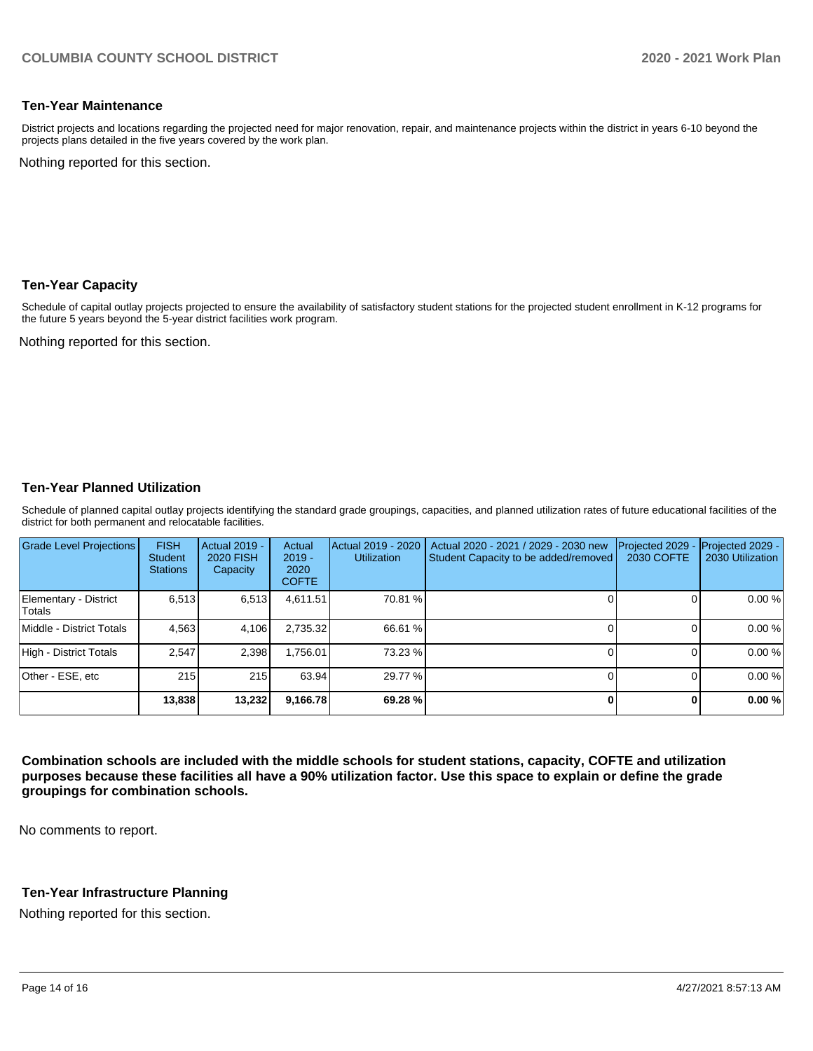#### **Ten-Year Maintenance**

District projects and locations regarding the projected need for major renovation, repair, and maintenance projects within the district in years 6-10 beyond the projects plans detailed in the five years covered by the work plan.

Nothing reported for this section.

#### **Ten-Year Capacity**

Schedule of capital outlay projects projected to ensure the availability of satisfactory student stations for the projected student enrollment in K-12 programs for the future 5 years beyond the 5-year district facilities work program.

Nothing reported for this section.

#### **Ten-Year Planned Utilization**

Schedule of planned capital outlay projects identifying the standard grade groupings, capacities, and planned utilization rates of future educational facilities of the district for both permanent and relocatable facilities.

| <b>Grade Level Projections</b>  | <b>FISH</b><br>Student<br><b>Stations</b> | Actual 2019 -<br><b>2020 FISH</b><br>Capacity | Actual<br>$2019 -$<br>2020<br><b>COFTE</b> | Actual 2019 - 2020<br><b>Utilization</b> | Actual 2020 - 2021 / 2029 - 2030 new<br>Student Capacity to be added/removed | Projected 2029<br>2030 COFTE | Projected 2029 -<br>2030 Utilization |
|---------------------------------|-------------------------------------------|-----------------------------------------------|--------------------------------------------|------------------------------------------|------------------------------------------------------------------------------|------------------------------|--------------------------------------|
| Elementary - District<br>Totals | 6.513                                     | 6,513                                         | 4,611.51                                   | 70.81 %                                  |                                                                              |                              | 0.00%                                |
| Middle - District Totals        | 4.563                                     | 4.106                                         | 2.735.32                                   | 66.61 %                                  |                                                                              |                              | 0.00%                                |
| High - District Totals          | 2.547                                     | 2,398                                         | 1.756.01                                   | 73.23 %                                  |                                                                              |                              | 0.00%                                |
| Other - ESE, etc                | 215                                       | 215                                           | 63.94                                      | 29.77 %                                  |                                                                              |                              | 0.00%                                |
|                                 | 13,838                                    | 13,232                                        | 9,166.78                                   | 69.28 %                                  |                                                                              |                              | 0.00%                                |

**Combination schools are included with the middle schools for student stations, capacity, COFTE and utilization purposes because these facilities all have a 90% utilization factor. Use this space to explain or define the grade groupings for combination schools.** 

No comments to report.

#### **Ten-Year Infrastructure Planning**

Nothing reported for this section.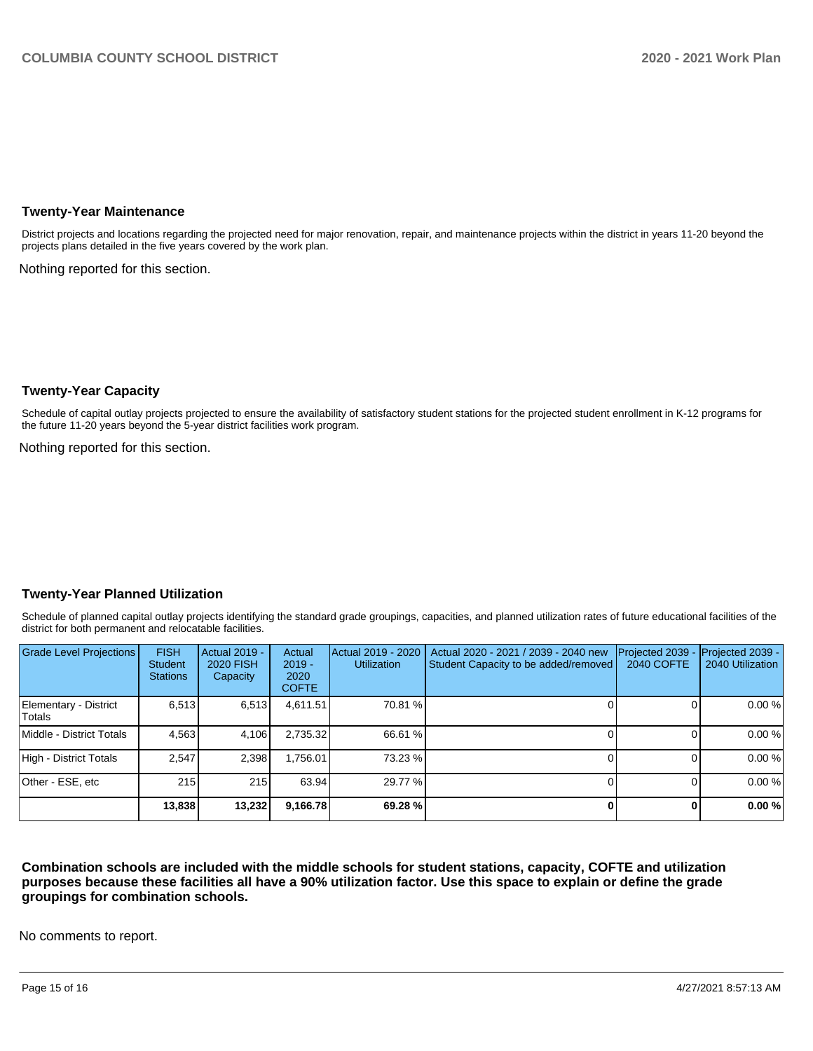#### **Twenty-Year Maintenance**

District projects and locations regarding the projected need for major renovation, repair, and maintenance projects within the district in years 11-20 beyond the projects plans detailed in the five years covered by the work plan.

Nothing reported for this section.

#### **Twenty-Year Capacity**

Schedule of capital outlay projects projected to ensure the availability of satisfactory student stations for the projected student enrollment in K-12 programs for the future 11-20 years beyond the 5-year district facilities work program.

Nothing reported for this section.

#### **Twenty-Year Planned Utilization**

Schedule of planned capital outlay projects identifying the standard grade groupings, capacities, and planned utilization rates of future educational facilities of the district for both permanent and relocatable facilities.

| <b>Grade Level Projections</b>         | <b>FISH</b><br><b>Student</b><br><b>Stations</b> | <b>Actual 2019 -</b><br><b>2020 FISH</b><br>Capacity | Actual<br>$2019 -$<br>2020<br><b>COFTE</b> | Actual 2019 - 2020<br><b>Utilization</b> | Actual 2020 - 2021 / 2039 - 2040 new<br>Student Capacity to be added/removed | Projected 2039<br>2040 COFTE | Projected 2039 -<br>2040 Utilization |
|----------------------------------------|--------------------------------------------------|------------------------------------------------------|--------------------------------------------|------------------------------------------|------------------------------------------------------------------------------|------------------------------|--------------------------------------|
| Elementary - District<br><b>Totals</b> | 6.513                                            | 6,513                                                | 4,611.51                                   | 70.81 %                                  |                                                                              |                              | 0.00 %                               |
| Middle - District Totals               | 4,563                                            | 4,106                                                | 2,735.32                                   | 66.61 %                                  |                                                                              |                              | 0.00 %                               |
| High - District Totals                 | 2.547                                            | 2,398                                                | ا 756.01.                                  | 73.23 %                                  |                                                                              |                              | 0.00 %                               |
| Other - ESE, etc                       | 215                                              | 215                                                  | 63.94                                      | 29.77 %                                  |                                                                              |                              | 0.00 %                               |
|                                        | 13,838                                           | 13,232                                               | 9,166.78                                   | 69.28 %                                  |                                                                              |                              | 0.00 %                               |

**Combination schools are included with the middle schools for student stations, capacity, COFTE and utilization purposes because these facilities all have a 90% utilization factor. Use this space to explain or define the grade groupings for combination schools.** 

No comments to report.